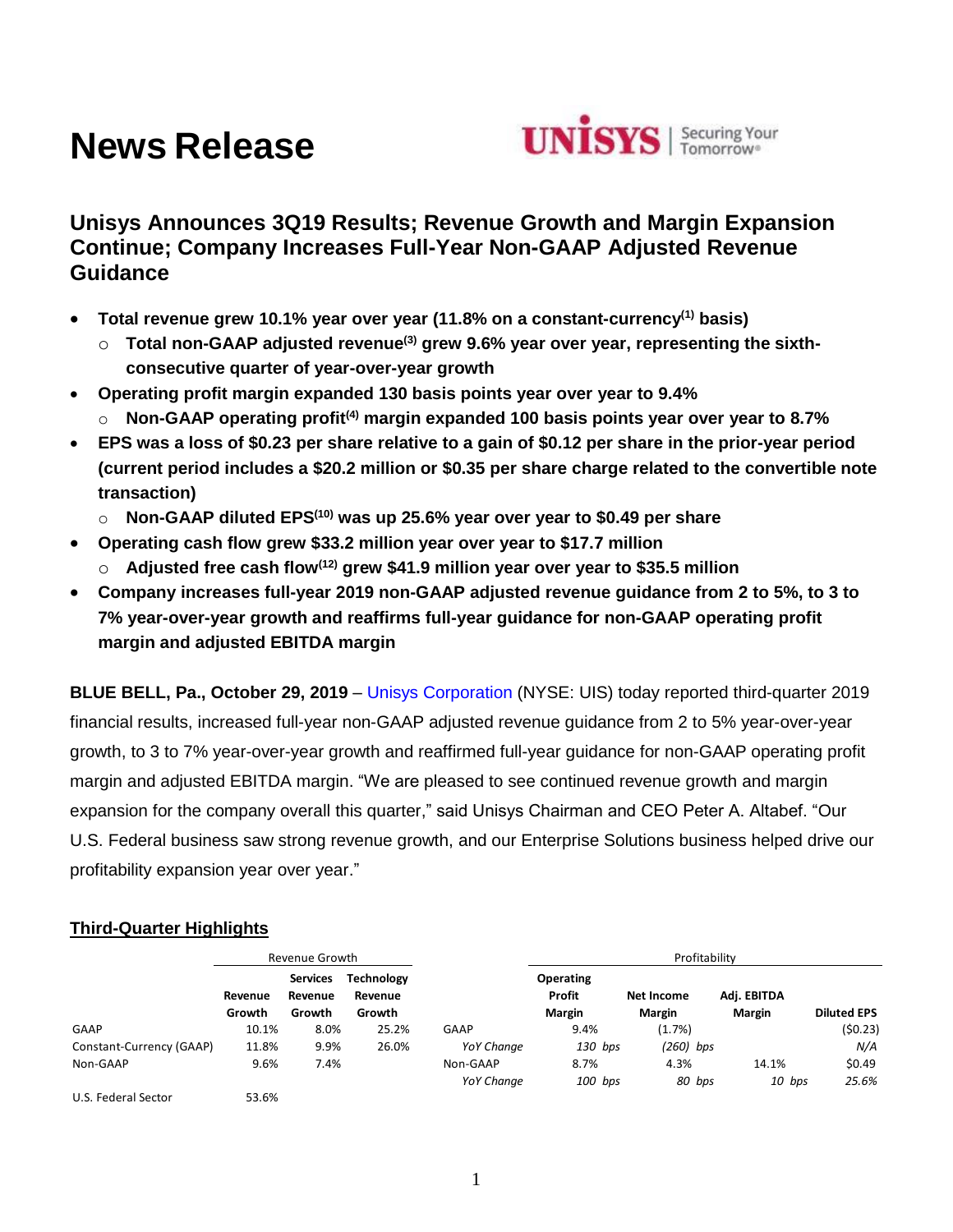# **News Release**



## **Unisys Announces 3Q19 Results; Revenue Growth and Margin Expansion Continue; Company Increases Full-Year Non-GAAP Adjusted Revenue Guidance**

- **Total revenue grew 10.1% year over year (11.8% on a constant-currency(1) basis)**
	- o **Total non-GAAP adjusted revenue(3) grew 9.6% year over year, representing the sixthconsecutive quarter of year-over-year growth**
- **Operating profit margin expanded 130 basis points year over year to 9.4%**
	- o **Non-GAAP operating profit(4) margin expanded 100 basis points year over year to 8.7%**
- **EPS was a loss of \$0.23 per share relative to a gain of \$0.12 per share in the prior-year period (current period includes a \$20.2 million or \$0.35 per share charge related to the convertible note transaction)**
	- o **Non-GAAP diluted EPS(10) was up 25.6% year over year to \$0.49 per share**
- **Operating cash flow grew \$33.2 million year over year to \$17.7 million**
	- o **Adjusted free cash flow(12) grew \$41.9 million year over year to \$35.5 million**
- **Company increases full-year 2019 non-GAAP adjusted revenue guidance from 2 to 5%, to 3 to 7% year-over-year growth and reaffirms full-year guidance for non-GAAP operating profit margin and adjusted EBITDA margin**

**BLUE BELL, Pa., October 29, 2019** – [Unisys Corporation](http://www.unisys.com/) (NYSE: UIS) today reported third-quarter 2019 financial results, increased full-year non-GAAP adjusted revenue guidance from 2 to 5% year-over-year growth, to 3 to 7% year-over-year growth and reaffirmed full-year guidance for non-GAAP operating profit margin and adjusted EBITDA margin. "We are pleased to see continued revenue growth and margin expansion for the company overall this quarter," said Unisys Chairman and CEO Peter A. Altabef. "Our U.S. Federal business saw strong revenue growth, and our Enterprise Solutions business helped drive our profitability expansion year over year."

## **Third-Quarter Highlights**

|                          |                   | Revenue Growth                       |                                        |                   | Profitability                               |                             |                              |                    |  |
|--------------------------|-------------------|--------------------------------------|----------------------------------------|-------------------|---------------------------------------------|-----------------------------|------------------------------|--------------------|--|
|                          | Revenue<br>Growth | <b>Services</b><br>Revenue<br>Growth | <b>Technology</b><br>Revenue<br>Growth |                   | <b>Operating</b><br>Profit<br><b>Margin</b> | Net Income<br><b>Margin</b> | Adj. EBITDA<br><b>Margin</b> | <b>Diluted EPS</b> |  |
| <b>GAAP</b>              | 10.1%             | 8.0%                                 | 25.2%                                  | <b>GAAP</b>       | 9.4%                                        | (1.7%)                      |                              | (50.23)            |  |
| Constant-Currency (GAAP) | 11.8%             | 9.9%                                 | 26.0%                                  | <b>YoY Change</b> | 130 bps                                     | $(260)$ bps                 |                              | N/A                |  |
| Non-GAAP                 | 9.6%              | 7.4%                                 |                                        | Non-GAAP          | 8.7%                                        | 4.3%                        | 14.1%                        | \$0.49             |  |
|                          |                   |                                      |                                        | <b>YoY Change</b> | 100 bps                                     | 80 bps                      | 10 bps                       | 25.6%              |  |
| U.S. Federal Sector      | 53.6%             |                                      |                                        |                   |                                             |                             |                              |                    |  |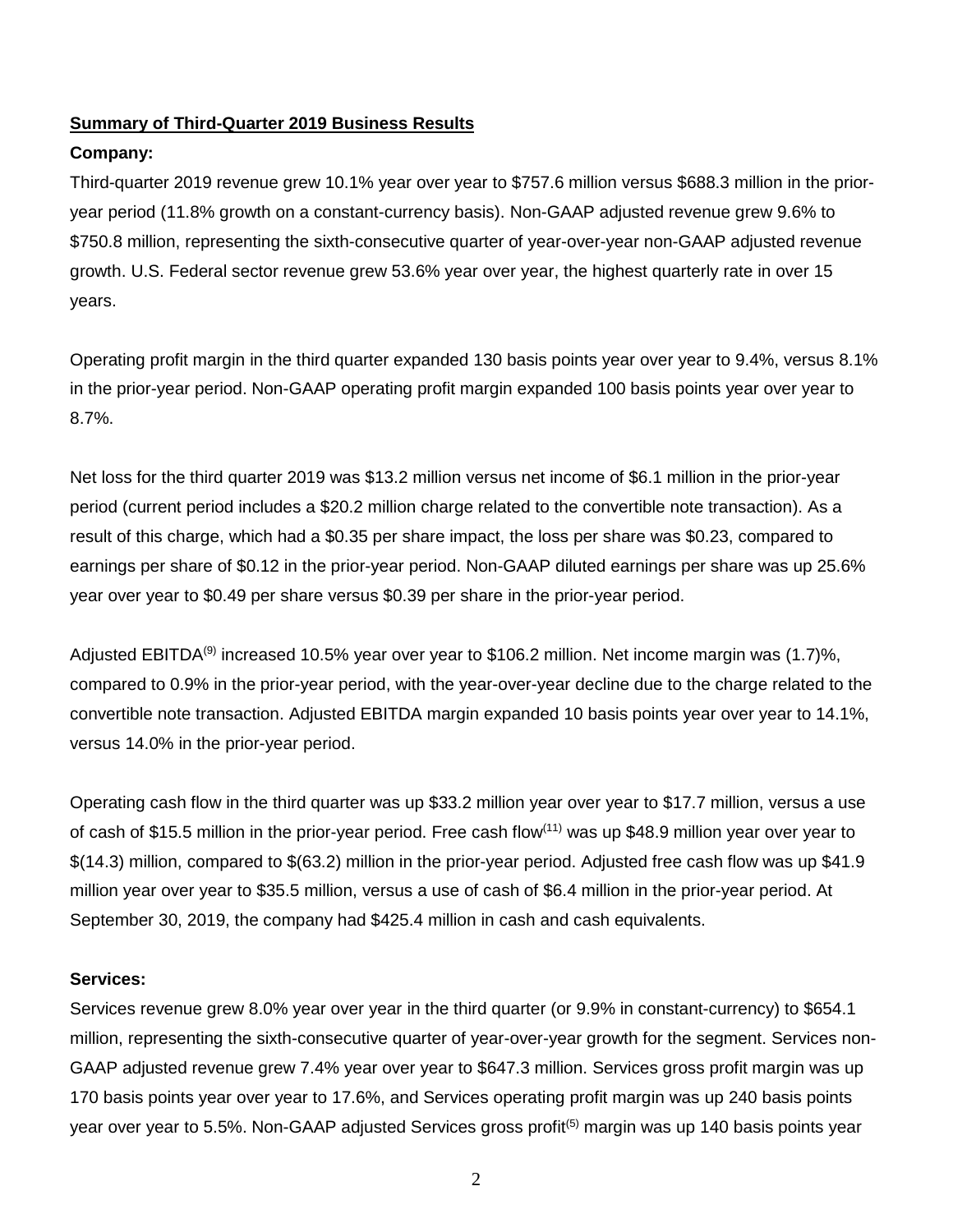## **Summary of Third-Quarter 2019 Business Results**

## **Company:**

Third-quarter 2019 revenue grew 10.1% year over year to \$757.6 million versus \$688.3 million in the prioryear period (11.8% growth on a constant-currency basis). Non-GAAP adjusted revenue grew 9.6% to \$750.8 million, representing the sixth-consecutive quarter of year-over-year non-GAAP adjusted revenue growth. U.S. Federal sector revenue grew 53.6% year over year, the highest quarterly rate in over 15 years.

Operating profit margin in the third quarter expanded 130 basis points year over year to 9.4%, versus 8.1% in the prior-year period. Non-GAAP operating profit margin expanded 100 basis points year over year to 8.7%.

Net loss for the third quarter 2019 was \$13.2 million versus net income of \$6.1 million in the prior-year period (current period includes a \$20.2 million charge related to the convertible note transaction). As a result of this charge, which had a \$0.35 per share impact, the loss per share was \$0.23, compared to earnings per share of \$0.12 in the prior-year period. Non-GAAP diluted earnings per share was up 25.6% year over year to \$0.49 per share versus \$0.39 per share in the prior-year period.

Adjusted EBITDA<sup>(9)</sup> increased 10.5% year over year to \$106.2 million. Net income margin was (1.7)%, compared to 0.9% in the prior-year period, with the year-over-year decline due to the charge related to the convertible note transaction. Adjusted EBITDA margin expanded 10 basis points year over year to 14.1%, versus 14.0% in the prior-year period.

Operating cash flow in the third quarter was up \$33.2 million year over year to \$17.7 million, versus a use of cash of \$15.5 million in the prior-year period. Free cash flow<sup>(11)</sup> was up \$48.9 million year over year to \$(14.3) million, compared to \$(63.2) million in the prior-year period. Adjusted free cash flow was up \$41.9 million year over year to \$35.5 million, versus a use of cash of \$6.4 million in the prior-year period. At September 30, 2019, the company had \$425.4 million in cash and cash equivalents.

### **Services:**

Services revenue grew 8.0% year over year in the third quarter (or 9.9% in constant-currency) to \$654.1 million, representing the sixth-consecutive quarter of year-over-year growth for the segment. Services non-GAAP adjusted revenue grew 7.4% year over year to \$647.3 million. Services gross profit margin was up 170 basis points year over year to 17.6%, and Services operating profit margin was up 240 basis points year over year to 5.5%. Non-GAAP adjusted Services gross profit<sup>(5)</sup> margin was up 140 basis points year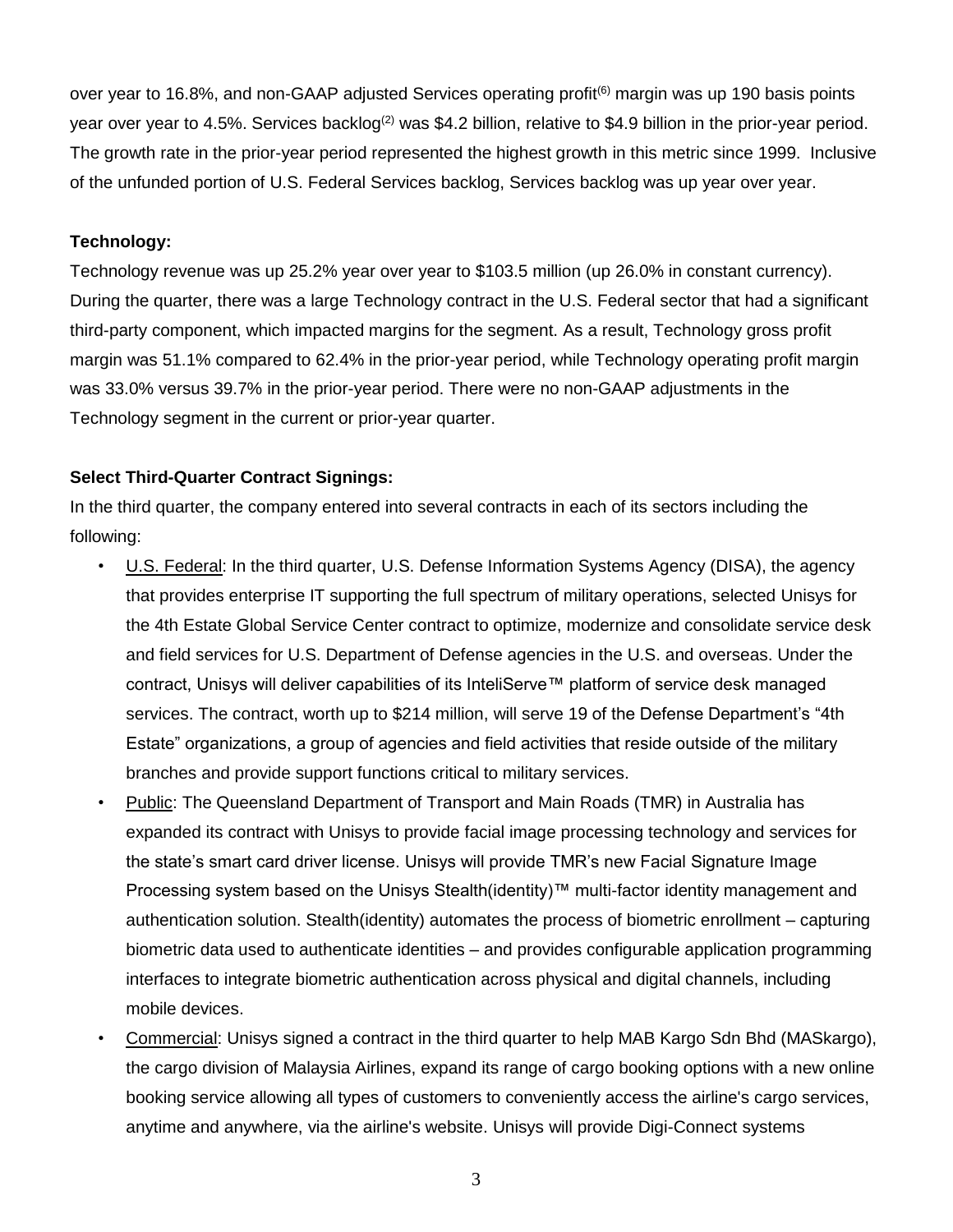over year to 16.8%, and non-GAAP adjusted Services operating profit<sup>(6)</sup> margin was up 190 basis points year over year to 4.5%. Services backlog<sup>(2)</sup> was \$4.2 billion, relative to \$4.9 billion in the prior-year period. The growth rate in the prior-year period represented the highest growth in this metric since 1999. Inclusive of the unfunded portion of U.S. Federal Services backlog, Services backlog was up year over year.

## **Technology:**

Technology revenue was up 25.2% year over year to \$103.5 million (up 26.0% in constant currency). During the quarter, there was a large Technology contract in the U.S. Federal sector that had a significant third-party component, which impacted margins for the segment. As a result, Technology gross profit margin was 51.1% compared to 62.4% in the prior-year period, while Technology operating profit margin was 33.0% versus 39.7% in the prior-year period. There were no non-GAAP adjustments in the Technology segment in the current or prior-year quarter.

## **Select Third-Quarter Contract Signings:**

In the third quarter, the company entered into several contracts in each of its sectors including the following:

- U.S. Federal: In the third quarter, U.S. Defense Information Systems Agency (DISA), the agency that provides enterprise IT supporting the full spectrum of military operations, selected Unisys for the 4th Estate Global Service Center contract to optimize, modernize and consolidate service desk and field services for U.S. Department of Defense agencies in the U.S. and overseas. Under the contract, Unisys will deliver capabilities of its InteliServe™ platform of service desk managed services. The contract, worth up to \$214 million, will serve 19 of the Defense Department's "4th Estate" organizations, a group of agencies and field activities that reside outside of the military branches and provide support functions critical to military services.
- Public: The Queensland Department of Transport and Main Roads (TMR) in Australia has expanded its contract with Unisys to provide facial image processing technology and services for the state's smart card driver license. Unisys will provide TMR's new Facial Signature Image Processing system based on the Unisys Stealth(identity)™ multi-factor identity management and authentication solution. Stealth(identity) automates the process of biometric enrollment – capturing biometric data used to authenticate identities – and provides configurable application programming interfaces to integrate biometric authentication across physical and digital channels, including mobile devices.
- Commercial: Unisys signed a contract in the third quarter to help MAB Kargo Sdn Bhd (MASkargo), the cargo division of Malaysia Airlines, expand its range of cargo booking options with a new online booking service allowing all types of customers to conveniently access the airline's cargo services, anytime and anywhere, via the airline's website. Unisys will provide Digi-Connect systems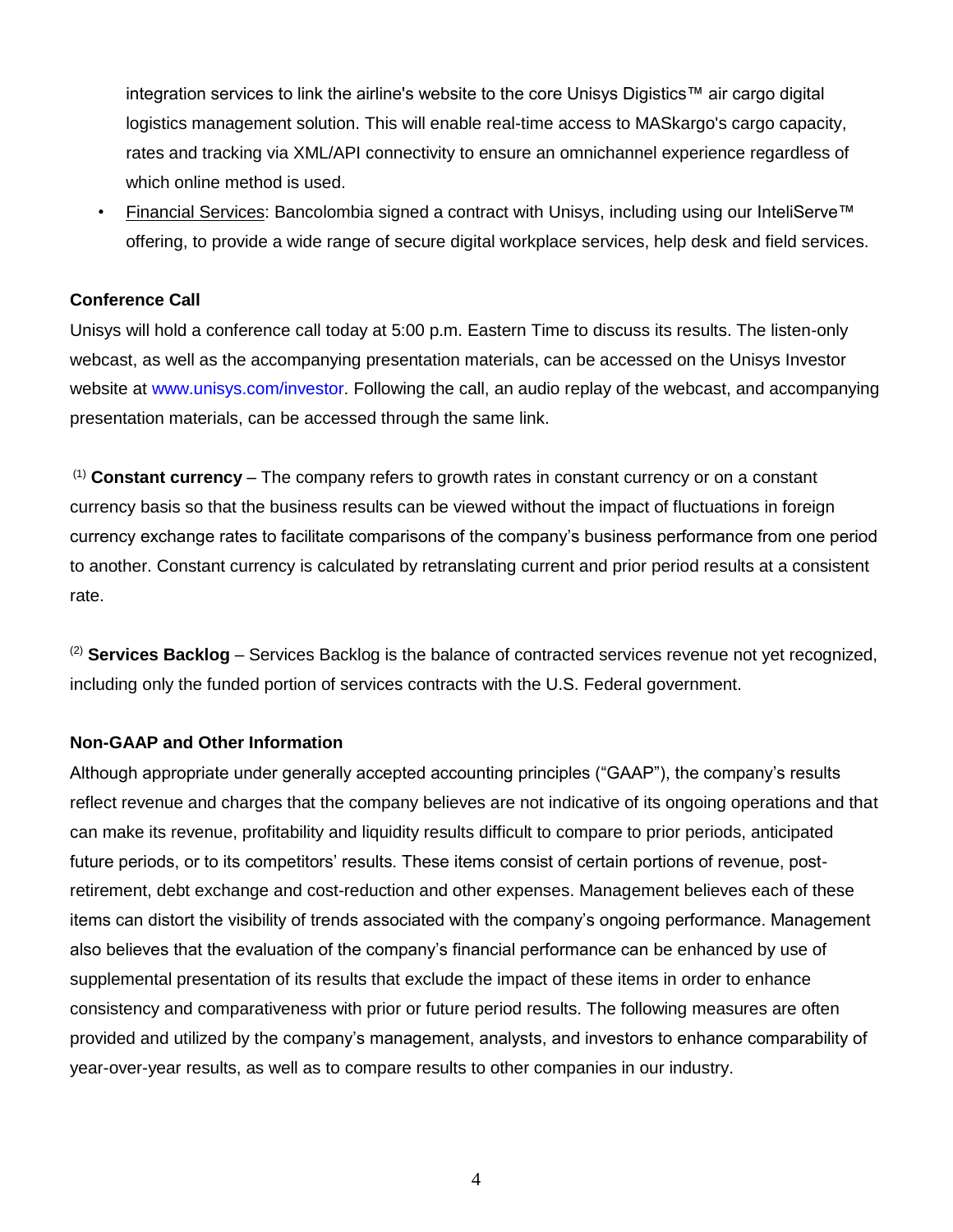integration services to link the airline's website to the core Unisys Digistics™ air cargo digital logistics management solution. This will enable real-time access to MASkargo's cargo capacity, rates and tracking via XML/API connectivity to ensure an omnichannel experience regardless of which online method is used.

• Financial Services: Bancolombia signed a contract with Unisys, including using our InteliServe™ offering, to provide a wide range of secure digital workplace services, help desk and field services.

## **Conference Call**

Unisys will hold a conference call today at 5:00 p.m. Eastern Time to discuss its results. The listen-only webcast, as well as the accompanying presentation materials, can be accessed on the Unisys Investor website at [www.unisys.com/investor.](http://www.unisys.com/investor) Following the call, an audio replay of the webcast, and accompanying presentation materials, can be accessed through the same link.

(1) **Constant currency** – The company refers to growth rates in constant currency or on a constant currency basis so that the business results can be viewed without the impact of fluctuations in foreign currency exchange rates to facilitate comparisons of the company's business performance from one period to another. Constant currency is calculated by retranslating current and prior period results at a consistent rate.

(2) **Services Backlog** – Services Backlog is the balance of contracted services revenue not yet recognized, including only the funded portion of services contracts with the U.S. Federal government.

## **Non-GAAP and Other Information**

Although appropriate under generally accepted accounting principles ("GAAP"), the company's results reflect revenue and charges that the company believes are not indicative of its ongoing operations and that can make its revenue, profitability and liquidity results difficult to compare to prior periods, anticipated future periods, or to its competitors' results. These items consist of certain portions of revenue, postretirement, debt exchange and cost-reduction and other expenses. Management believes each of these items can distort the visibility of trends associated with the company's ongoing performance. Management also believes that the evaluation of the company's financial performance can be enhanced by use of supplemental presentation of its results that exclude the impact of these items in order to enhance consistency and comparativeness with prior or future period results. The following measures are often provided and utilized by the company's management, analysts, and investors to enhance comparability of year-over-year results, as well as to compare results to other companies in our industry.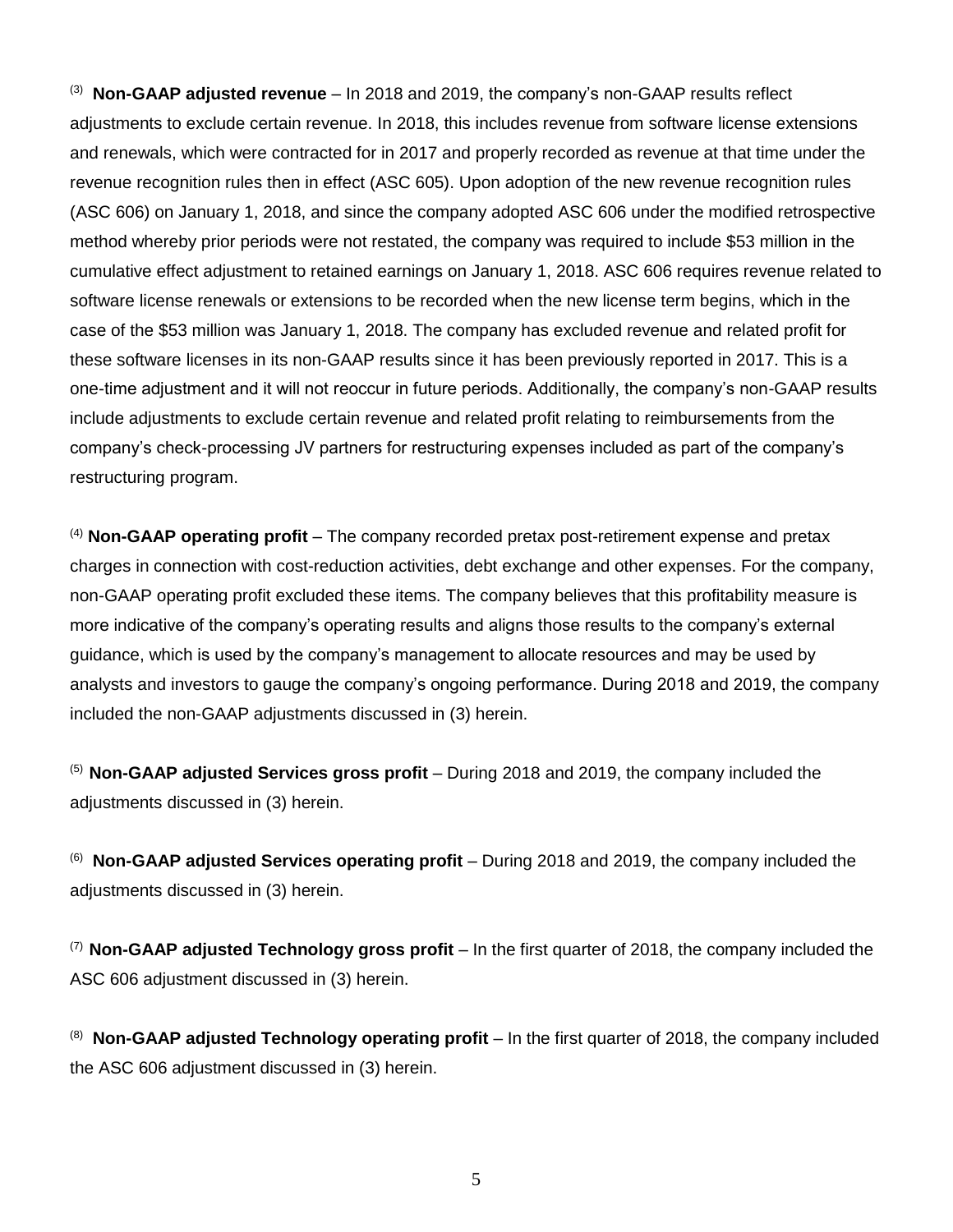<sup>(3)</sup> Non-GAAP adjusted revenue – In 2018 and 2019, the company's non-GAAP results reflect adjustments to exclude certain revenue. In 2018, this includes revenue from software license extensions and renewals, which were contracted for in 2017 and properly recorded as revenue at that time under the revenue recognition rules then in effect (ASC 605). Upon adoption of the new revenue recognition rules (ASC 606) on January 1, 2018, and since the company adopted ASC 606 under the modified retrospective method whereby prior periods were not restated, the company was required to include \$53 million in the cumulative effect adjustment to retained earnings on January 1, 2018. ASC 606 requires revenue related to software license renewals or extensions to be recorded when the new license term begins, which in the case of the \$53 million was January 1, 2018. The company has excluded revenue and related profit for these software licenses in its non-GAAP results since it has been previously reported in 2017. This is a one-time adjustment and it will not reoccur in future periods. Additionally, the company's non-GAAP results include adjustments to exclude certain revenue and related profit relating to reimbursements from the company's check-processing JV partners for restructuring expenses included as part of the company's restructuring program.

(4) **Non-GAAP operating profit** – The company recorded pretax post-retirement expense and pretax charges in connection with cost-reduction activities, debt exchange and other expenses. For the company, non-GAAP operating profit excluded these items. The company believes that this profitability measure is more indicative of the company's operating results and aligns those results to the company's external guidance, which is used by the company's management to allocate resources and may be used by analysts and investors to gauge the company's ongoing performance. During 2018 and 2019, the company included the non-GAAP adjustments discussed in (3) herein.

(5) **Non-GAAP adjusted Services gross profit** – During 2018 and 2019, the company included the adjustments discussed in (3) herein.

(6) **Non-GAAP adjusted Services operating profit** – During 2018 and 2019, the company included the adjustments discussed in (3) herein.

(7) **Non-GAAP adjusted Technology gross profit** – In the first quarter of 2018, the company included the ASC 606 adjustment discussed in (3) herein.

(8) **Non-GAAP adjusted Technology operating profit** – In the first quarter of 2018, the company included the ASC 606 adjustment discussed in (3) herein.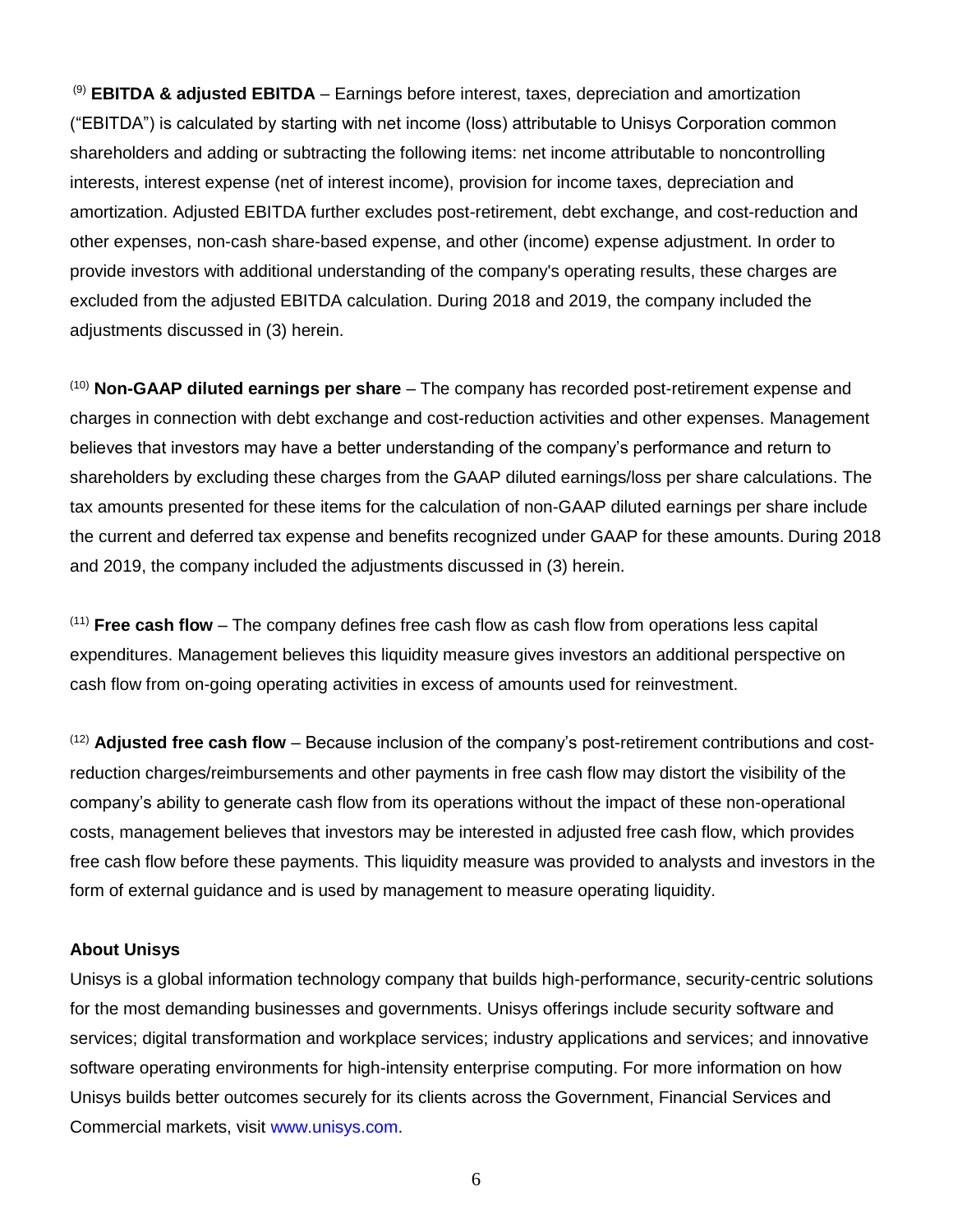(9) **EBITDA & adjusted EBITDA** – Earnings before interest, taxes, depreciation and amortization ("EBITDA") is calculated by starting with net income (loss) attributable to Unisys Corporation common shareholders and adding or subtracting the following items: net income attributable to noncontrolling interests, interest expense (net of interest income), provision for income taxes, depreciation and amortization. Adjusted EBITDA further excludes post-retirement, debt exchange, and cost-reduction and other expenses, non-cash share-based expense, and other (income) expense adjustment. In order to provide investors with additional understanding of the company's operating results, these charges are excluded from the adjusted EBITDA calculation. During 2018 and 2019, the company included the adjustments discussed in (3) herein.

(10) **Non-GAAP diluted earnings per share** – The company has recorded post-retirement expense and charges in connection with debt exchange and cost-reduction activities and other expenses. Management believes that investors may have a better understanding of the company's performance and return to shareholders by excluding these charges from the GAAP diluted earnings/loss per share calculations. The tax amounts presented for these items for the calculation of non-GAAP diluted earnings per share include the current and deferred tax expense and benefits recognized under GAAP for these amounts. During 2018 and 2019, the company included the adjustments discussed in (3) herein.

(11) **Free cash flow** – The company defines free cash flow as cash flow from operations less capital expenditures. Management believes this liquidity measure gives investors an additional perspective on cash flow from on-going operating activities in excess of amounts used for reinvestment.

(12) **Adjusted free cash flow** – Because inclusion of the company's post-retirement contributions and costreduction charges/reimbursements and other payments in free cash flow may distort the visibility of the company's ability to generate cash flow from its operations without the impact of these non-operational costs, management believes that investors may be interested in adjusted free cash flow, which provides free cash flow before these payments. This liquidity measure was provided to analysts and investors in the form of external guidance and is used by management to measure operating liquidity.

### **About Unisys**

Unisys is a global information technology company that builds high-performance, security-centric solutions for the most demanding businesses and governments. Unisys offerings include security software and services; digital transformation and workplace services; industry applications and services; and innovative software operating environments for high-intensity enterprise computing. For more information on how Unisys builds better outcomes securely for its clients across the Government, Financial Services and Commercial markets, visit [www.unisys.com.](http://www.unisys.com/)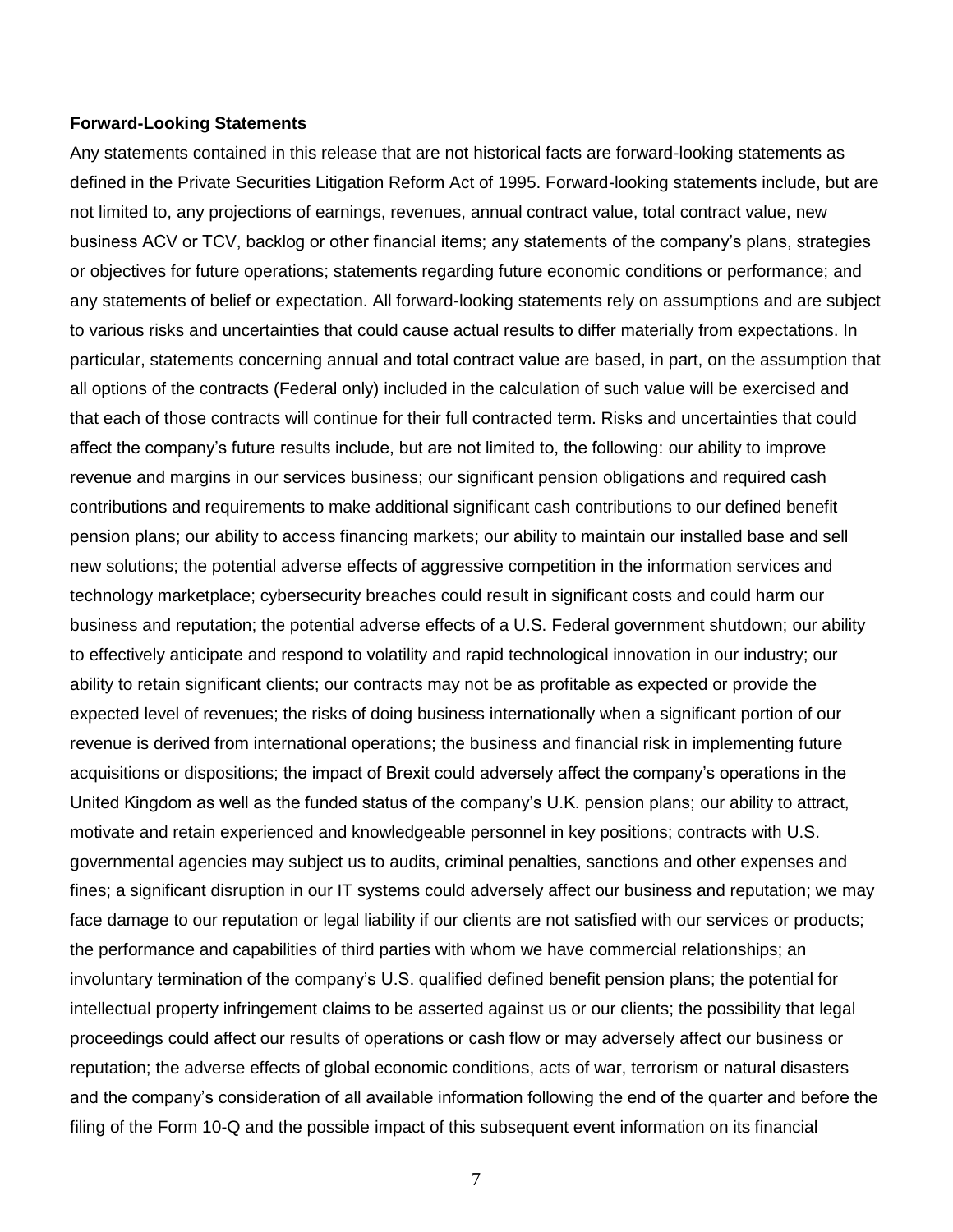#### **Forward-Looking Statements**

Any statements contained in this release that are not historical facts are forward-looking statements as defined in the Private Securities Litigation Reform Act of 1995. Forward-looking statements include, but are not limited to, any projections of earnings, revenues, annual contract value, total contract value, new business ACV or TCV, backlog or other financial items; any statements of the company's plans, strategies or objectives for future operations; statements regarding future economic conditions or performance; and any statements of belief or expectation. All forward-looking statements rely on assumptions and are subject to various risks and uncertainties that could cause actual results to differ materially from expectations. In particular, statements concerning annual and total contract value are based, in part, on the assumption that all options of the contracts (Federal only) included in the calculation of such value will be exercised and that each of those contracts will continue for their full contracted term. Risks and uncertainties that could affect the company's future results include, but are not limited to, the following: our ability to improve revenue and margins in our services business; our significant pension obligations and required cash contributions and requirements to make additional significant cash contributions to our defined benefit pension plans; our ability to access financing markets; our ability to maintain our installed base and sell new solutions; the potential adverse effects of aggressive competition in the information services and technology marketplace; cybersecurity breaches could result in significant costs and could harm our business and reputation; the potential adverse effects of a U.S. Federal government shutdown; our ability to effectively anticipate and respond to volatility and rapid technological innovation in our industry; our ability to retain significant clients; our contracts may not be as profitable as expected or provide the expected level of revenues; the risks of doing business internationally when a significant portion of our revenue is derived from international operations; the business and financial risk in implementing future acquisitions or dispositions; the impact of Brexit could adversely affect the company's operations in the United Kingdom as well as the funded status of the company's U.K. pension plans; our ability to attract, motivate and retain experienced and knowledgeable personnel in key positions; contracts with U.S. governmental agencies may subject us to audits, criminal penalties, sanctions and other expenses and fines; a significant disruption in our IT systems could adversely affect our business and reputation; we may face damage to our reputation or legal liability if our clients are not satisfied with our services or products; the performance and capabilities of third parties with whom we have commercial relationships; an involuntary termination of the company's U.S. qualified defined benefit pension plans; the potential for intellectual property infringement claims to be asserted against us or our clients; the possibility that legal proceedings could affect our results of operations or cash flow or may adversely affect our business or reputation; the adverse effects of global economic conditions, acts of war, terrorism or natural disasters and the company's consideration of all available information following the end of the quarter and before the filing of the Form 10-Q and the possible impact of this subsequent event information on its financial

7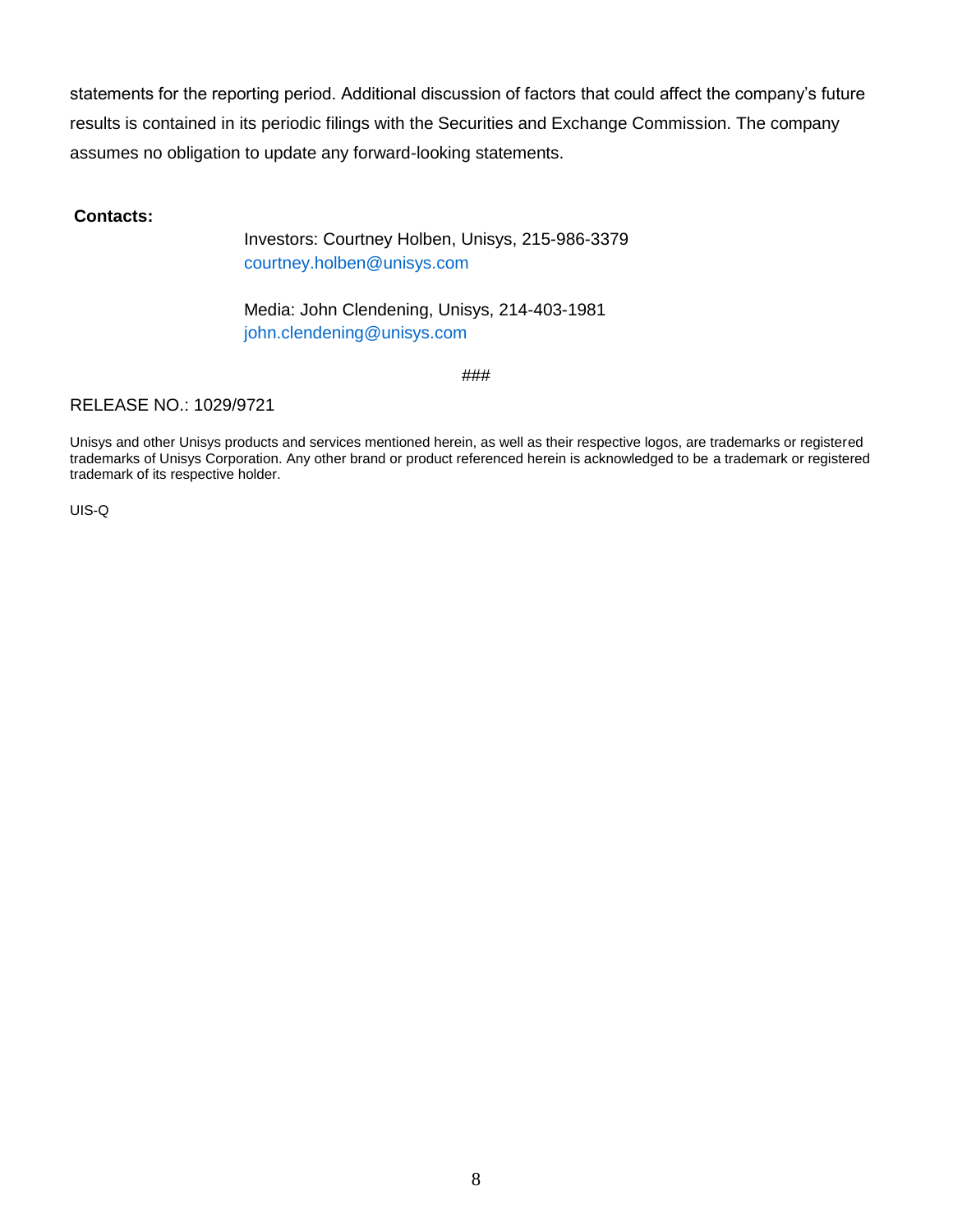statements for the reporting period. Additional discussion of factors that could affect the company's future results is contained in its periodic filings with the Securities and Exchange Commission. The company assumes no obligation to update any forward-looking statements.

## **Contacts:**

Investors: Courtney Holben, Unisys, 215-986-3379 courtney.holben@unisys.com

Media: John Clendening, Unisys, 214-403-1981 john.clendening@unisys.com

###

## RELEASE NO.: 1029/9721

Unisys and other Unisys products and services mentioned herein, as well as their respective logos, are trademarks or registered trademarks of Unisys Corporation. Any other brand or product referenced herein is acknowledged to be a trademark or registered trademark of its respective holder.

UIS-Q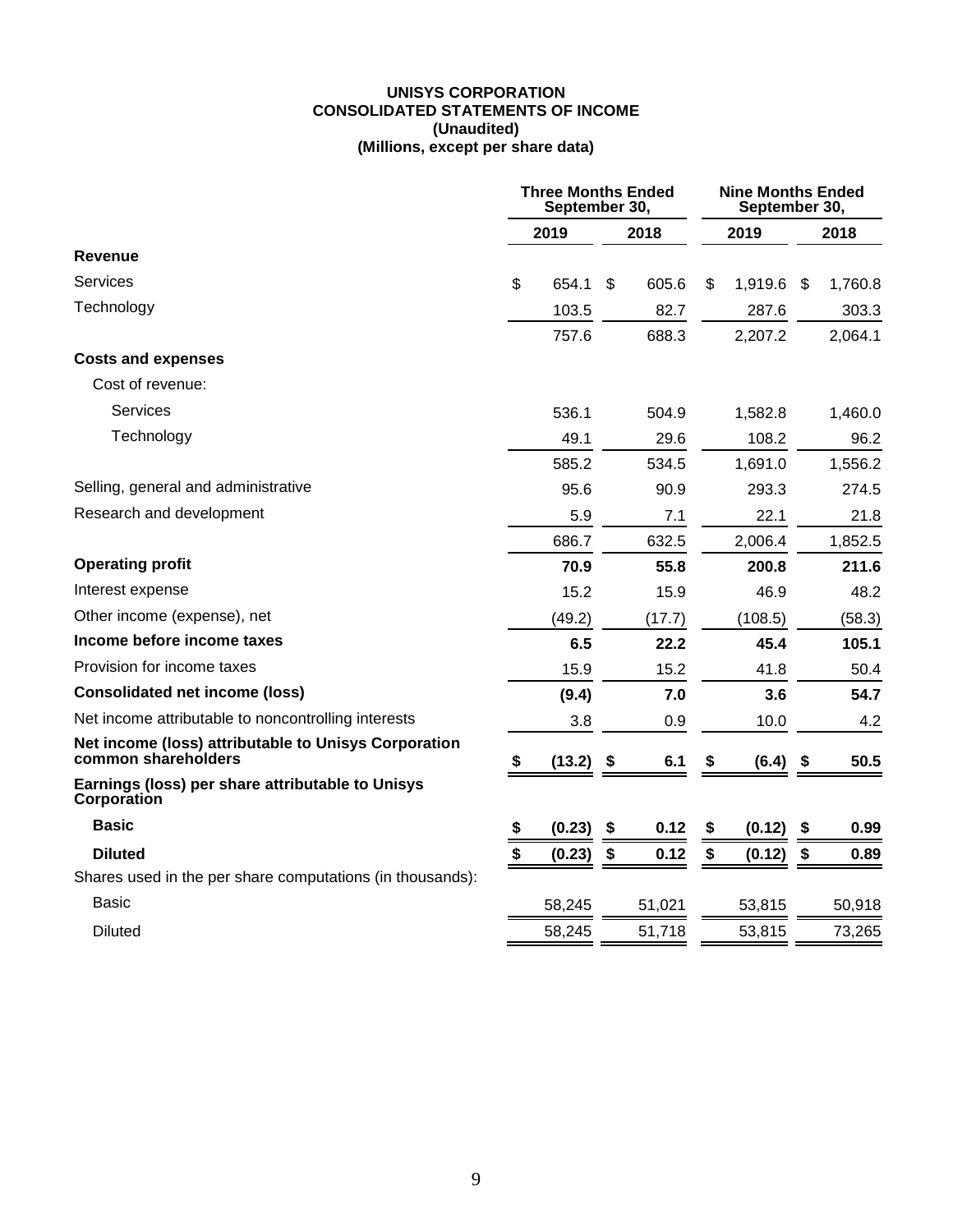#### **UNISYS CORPORATION CONSOLIDATED STATEMENTS OF INCOME (Unaudited) (Millions, except per share data)**

|                                                                             | <b>Three Months Ended</b><br>September 30, |        |    |        |    | <b>Nine Months Ended</b><br>September 30, |    |         |  |
|-----------------------------------------------------------------------------|--------------------------------------------|--------|----|--------|----|-------------------------------------------|----|---------|--|
|                                                                             |                                            | 2019   |    | 2018   |    | 2019                                      |    | 2018    |  |
| <b>Revenue</b>                                                              |                                            |        |    |        |    |                                           |    |         |  |
| Services                                                                    | \$                                         | 654.1  | \$ | 605.6  | \$ | 1,919.6                                   | \$ | 1,760.8 |  |
| Technology                                                                  |                                            | 103.5  |    | 82.7   |    | 287.6                                     |    | 303.3   |  |
|                                                                             |                                            | 757.6  |    | 688.3  |    | 2,207.2                                   |    | 2,064.1 |  |
| <b>Costs and expenses</b>                                                   |                                            |        |    |        |    |                                           |    |         |  |
| Cost of revenue:                                                            |                                            |        |    |        |    |                                           |    |         |  |
| Services                                                                    |                                            | 536.1  |    | 504.9  |    | 1,582.8                                   |    | 1,460.0 |  |
| Technology                                                                  |                                            | 49.1   |    | 29.6   |    | 108.2                                     |    | 96.2    |  |
|                                                                             |                                            | 585.2  |    | 534.5  |    | 1,691.0                                   |    | 1,556.2 |  |
| Selling, general and administrative                                         |                                            | 95.6   |    | 90.9   |    | 293.3                                     |    | 274.5   |  |
| Research and development                                                    |                                            | 5.9    |    | 7.1    |    | 22.1                                      |    | 21.8    |  |
|                                                                             |                                            | 686.7  |    | 632.5  |    | 2,006.4                                   |    | 1,852.5 |  |
| <b>Operating profit</b>                                                     |                                            | 70.9   |    | 55.8   |    | 200.8                                     |    | 211.6   |  |
| Interest expense                                                            |                                            | 15.2   |    | 15.9   |    | 46.9                                      |    | 48.2    |  |
| Other income (expense), net                                                 |                                            | (49.2) |    | (17.7) |    | (108.5)                                   |    | (58.3)  |  |
| Income before income taxes                                                  |                                            | 6.5    |    | 22.2   |    | 45.4                                      |    | 105.1   |  |
| Provision for income taxes                                                  |                                            | 15.9   |    | 15.2   |    | 41.8                                      |    | 50.4    |  |
| <b>Consolidated net income (loss)</b>                                       |                                            | (9.4)  |    | 7.0    |    | 3.6                                       |    | 54.7    |  |
| Net income attributable to noncontrolling interests                         |                                            | 3.8    |    | 0.9    |    | 10.0                                      |    | 4.2     |  |
| Net income (loss) attributable to Unisys Corporation<br>common shareholders | \$                                         | (13.2) | \$ | 6.1    |    | (6.4)                                     | \$ | 50.5    |  |
| Earnings (loss) per share attributable to Unisys<br>Corporation             |                                            |        |    |        |    |                                           |    |         |  |
| <b>Basic</b>                                                                | \$                                         | (0.23) | \$ | 0.12   | S  | (0.12)                                    | \$ | 0.99    |  |
| <b>Diluted</b>                                                              | $\frac{1}{3}$                              | (0.23) | \$ | 0.12   | \$ | (0.12)                                    | \$ | 0.89    |  |
| Shares used in the per share computations (in thousands):                   |                                            |        |    |        |    |                                           |    |         |  |
| Basic                                                                       |                                            | 58,245 |    | 51,021 |    | 53,815                                    |    | 50,918  |  |
| <b>Diluted</b>                                                              |                                            | 58,245 |    | 51,718 |    | 53,815                                    |    | 73,265  |  |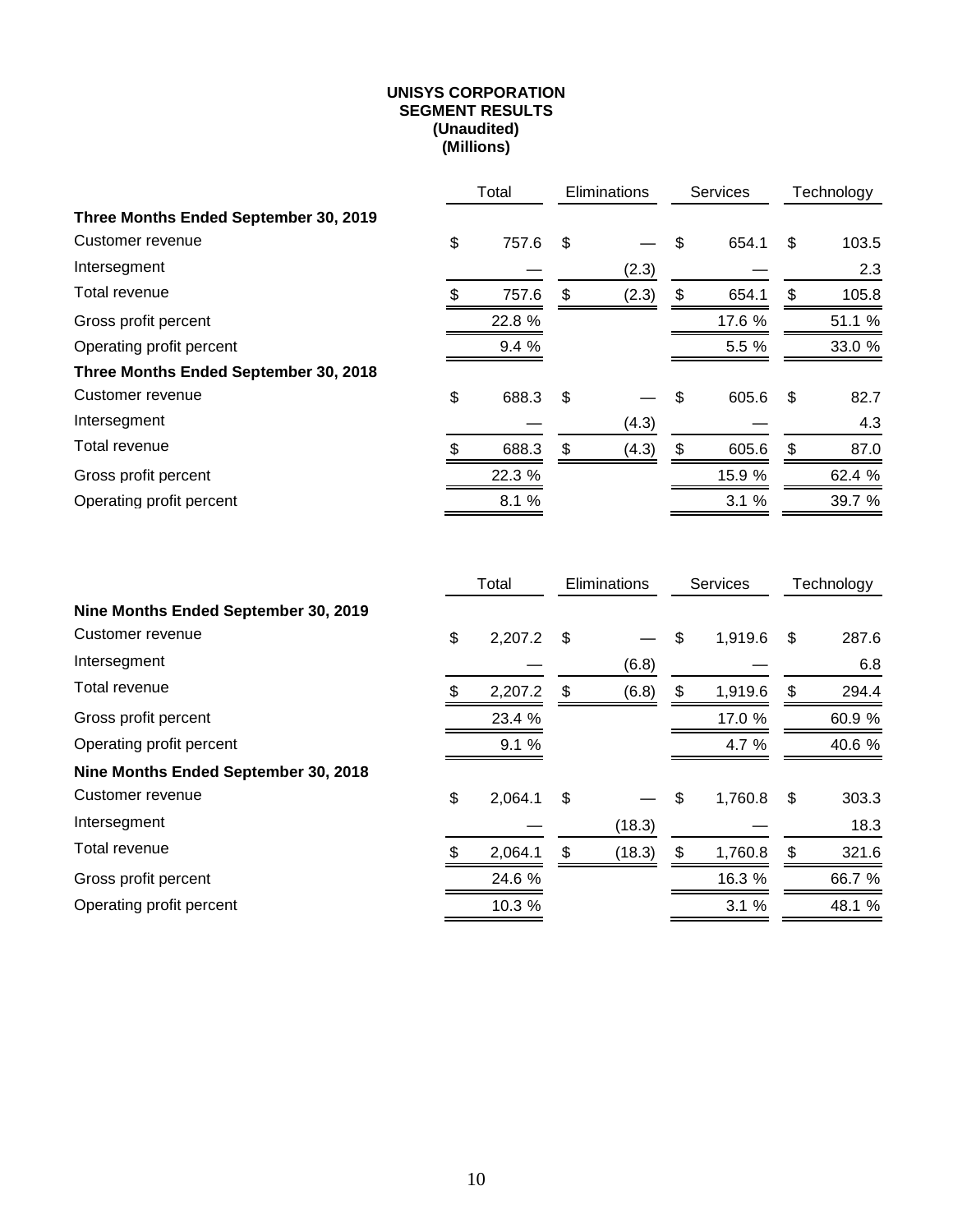#### **UNISYS CORPORATION SEGMENT RESULTS (Unaudited) (Millions)**

|                                       | Total |        | Eliminations |       | Services    | Technology |        |
|---------------------------------------|-------|--------|--------------|-------|-------------|------------|--------|
| Three Months Ended September 30, 2019 |       |        |              |       |             |            |        |
| Customer revenue                      | \$    | 757.6  | \$           |       | \$<br>654.1 | \$         | 103.5  |
| Intersegment                          |       |        |              | (2.3) |             |            | 2.3    |
| Total revenue                         |       | 757.6  | \$           | (2.3) | \$<br>654.1 | \$         | 105.8  |
| Gross profit percent                  |       | 22.8 % |              |       | 17.6 %      |            | 51.1 % |
| Operating profit percent              |       | 9.4 %  |              |       | 5.5 %       |            | 33.0 % |
| Three Months Ended September 30, 2018 |       |        |              |       |             |            |        |
| Customer revenue                      | \$    | 688.3  | \$           |       | \$<br>605.6 | \$         | 82.7   |
| Intersegment                          |       |        |              | (4.3) |             |            | 4.3    |
| Total revenue                         |       | 688.3  | \$           | (4.3) | \$<br>605.6 | \$.        | 87.0   |
| Gross profit percent                  |       | 22.3 % |              |       | 15.9 %      |            | 62.4 % |
| Operating profit percent              |       | 8.1 %  |              |       | 3.1%        |            | 39.7 % |

|                                      |    | Total   |    | Eliminations | <b>Services</b> | Technology |        |  |
|--------------------------------------|----|---------|----|--------------|-----------------|------------|--------|--|
| Nine Months Ended September 30, 2019 |    |         |    |              |                 |            |        |  |
| Customer revenue                     | \$ | 2,207.2 | \$ |              | \$<br>1,919.6   | \$         | 287.6  |  |
| Intersegment                         |    |         |    | (6.8)        |                 |            | 6.8    |  |
| Total revenue                        |    | 2,207.2 | \$ | (6.8)        | \$<br>1,919.6   | \$         | 294.4  |  |
| Gross profit percent                 |    | 23.4 %  |    |              | 17.0 %          |            | 60.9 % |  |
| Operating profit percent             |    | 9.1%    |    |              | 4.7 %           |            | 40.6 % |  |
| Nine Months Ended September 30, 2018 |    |         |    |              |                 |            |        |  |
| Customer revenue                     | \$ | 2,064.1 | \$ |              | \$<br>1,760.8   | \$         | 303.3  |  |
| Intersegment                         |    |         |    | (18.3)       |                 |            | 18.3   |  |
| Total revenue                        |    | 2,064.1 | \$ | (18.3)       | \$<br>1,760.8   | \$         | 321.6  |  |
| Gross profit percent                 |    | 24.6 %  |    |              | 16.3 %          |            | 66.7 % |  |
| Operating profit percent             |    | 10.3 %  |    |              | 3.1%            |            | 48.1 % |  |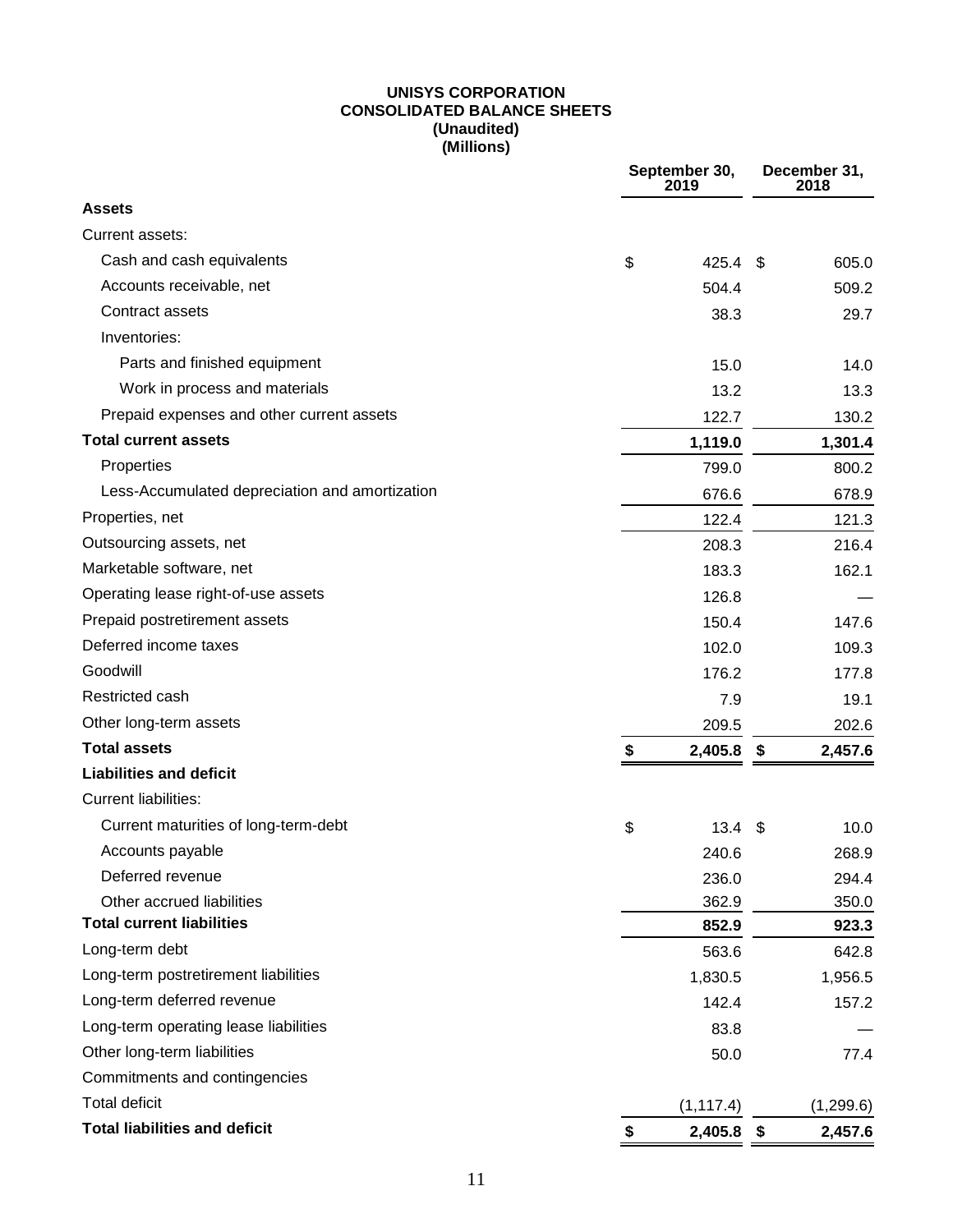#### **UNISYS CORPORATION CONSOLIDATED BALANCE SHEETS (Unaudited) (Millions)**

|                                                | September 30, |              | December 31,<br>2018 |           |
|------------------------------------------------|---------------|--------------|----------------------|-----------|
| <b>Assets</b>                                  |               |              |                      |           |
| Current assets:                                |               |              |                      |           |
| Cash and cash equivalents                      | \$            | $425.4$ \$   |                      | 605.0     |
| Accounts receivable, net                       |               | 504.4        |                      | 509.2     |
| Contract assets                                |               | 38.3         |                      | 29.7      |
| Inventories:                                   |               |              |                      |           |
| Parts and finished equipment                   |               | 15.0         |                      | 14.0      |
| Work in process and materials                  |               | 13.2         |                      | 13.3      |
| Prepaid expenses and other current assets      |               | 122.7        |                      | 130.2     |
| <b>Total current assets</b>                    |               | 1,119.0      |                      | 1,301.4   |
| Properties                                     |               | 799.0        |                      | 800.2     |
| Less-Accumulated depreciation and amortization |               | 676.6        |                      | 678.9     |
| Properties, net                                |               | 122.4        |                      | 121.3     |
| Outsourcing assets, net                        |               | 208.3        |                      | 216.4     |
| Marketable software, net                       |               | 183.3        |                      | 162.1     |
| Operating lease right-of-use assets            |               | 126.8        |                      |           |
| Prepaid postretirement assets                  |               | 150.4        |                      | 147.6     |
| Deferred income taxes                          |               | 102.0        |                      | 109.3     |
| Goodwill                                       |               | 176.2        |                      | 177.8     |
| Restricted cash                                |               | 7.9          |                      | 19.1      |
| Other long-term assets                         |               | 209.5        |                      | 202.6     |
| <b>Total assets</b>                            | \$            | 2,405.8      | \$                   | 2,457.6   |
| <b>Liabilities and deficit</b>                 |               |              |                      |           |
| <b>Current liabilities:</b>                    |               |              |                      |           |
| Current maturities of long-term-debt           | \$            | 13.4         | -\$                  | 10.0      |
| Accounts payable                               |               | 240.6        |                      | 268.9     |
| Deferred revenue                               |               | 236.0        |                      | 294.4     |
| Other accrued liabilities                      |               | 362.9        |                      | 350.0     |
| <b>Total current liabilities</b>               |               | 852.9        |                      | 923.3     |
| Long-term debt                                 |               | 563.6        |                      | 642.8     |
| Long-term postretirement liabilities           |               | 1,830.5      |                      | 1,956.5   |
| Long-term deferred revenue                     |               | 142.4        |                      | 157.2     |
| Long-term operating lease liabilities          |               | 83.8         |                      |           |
| Other long-term liabilities                    |               | 50.0         |                      | 77.4      |
| Commitments and contingencies                  |               |              |                      |           |
| <b>Total deficit</b>                           |               | (1, 117.4)   |                      | (1,299.6) |
| <b>Total liabilities and deficit</b>           | \$            | $2,405.8$ \$ |                      | 2,457.6   |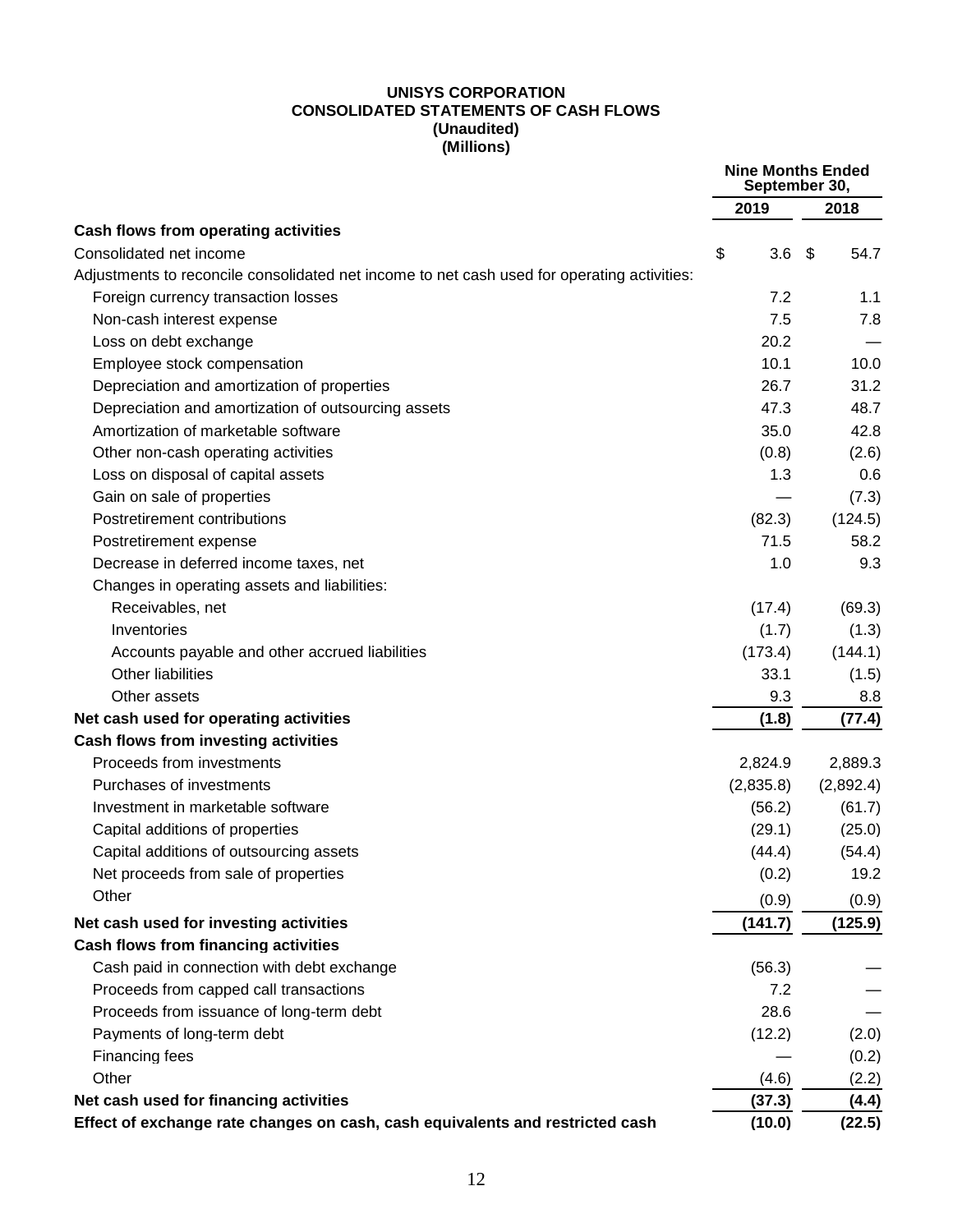#### **UNISYS CORPORATION CONSOLIDATED STATEMENTS OF CASH FLOWS (Unaudited) (Millions)**

|                                                                                             | <b>Nine Months Ended</b><br>September 30, |            |
|---------------------------------------------------------------------------------------------|-------------------------------------------|------------|
|                                                                                             | 2019                                      | 2018       |
| Cash flows from operating activities                                                        |                                           |            |
| Consolidated net income                                                                     | \$<br>3.6                                 | \$<br>54.7 |
| Adjustments to reconcile consolidated net income to net cash used for operating activities: |                                           |            |
| Foreign currency transaction losses                                                         | 7.2                                       | 1.1        |
| Non-cash interest expense                                                                   | 7.5                                       | 7.8        |
| Loss on debt exchange                                                                       | 20.2                                      |            |
| Employee stock compensation                                                                 | 10.1                                      | 10.0       |
| Depreciation and amortization of properties                                                 | 26.7                                      | 31.2       |
| Depreciation and amortization of outsourcing assets                                         | 47.3                                      | 48.7       |
| Amortization of marketable software                                                         | 35.0                                      | 42.8       |
| Other non-cash operating activities                                                         | (0.8)                                     | (2.6)      |
| Loss on disposal of capital assets                                                          | 1.3                                       | 0.6        |
| Gain on sale of properties                                                                  |                                           | (7.3)      |
| Postretirement contributions                                                                | (82.3)                                    | (124.5)    |
| Postretirement expense                                                                      | 71.5                                      | 58.2       |
| Decrease in deferred income taxes, net                                                      | 1.0                                       | 9.3        |
| Changes in operating assets and liabilities:                                                |                                           |            |
| Receivables, net                                                                            | (17.4)                                    | (69.3)     |
| Inventories                                                                                 | (1.7)                                     | (1.3)      |
| Accounts payable and other accrued liabilities                                              | (173.4)                                   | (144.1)    |
| Other liabilities                                                                           | 33.1                                      | (1.5)      |
| Other assets                                                                                | 9.3                                       | 8.8        |
| Net cash used for operating activities                                                      | (1.8)                                     | (77.4)     |
| Cash flows from investing activities                                                        |                                           |            |
| Proceeds from investments                                                                   | 2,824.9                                   | 2,889.3    |
| Purchases of investments                                                                    | (2,835.8)                                 | (2,892.4)  |
| Investment in marketable software                                                           | (56.2)                                    | (61.7)     |
| Capital additions of properties                                                             | (29.1)                                    | (25.0)     |
| Capital additions of outsourcing assets                                                     | (44.4)                                    | (54.4)     |
| Net proceeds from sale of properties                                                        | (0.2)                                     | 19.2       |
| Other                                                                                       | (0.9)                                     | (0.9)      |
| Net cash used for investing activities                                                      | (141.7)                                   | (125.9)    |
| <b>Cash flows from financing activities</b>                                                 |                                           |            |
| Cash paid in connection with debt exchange                                                  | (56.3)                                    |            |
| Proceeds from capped call transactions                                                      | 7.2                                       |            |
| Proceeds from issuance of long-term debt                                                    | 28.6                                      |            |
| Payments of long-term debt                                                                  | (12.2)                                    | (2.0)      |
| <b>Financing fees</b>                                                                       |                                           | (0.2)      |
| Other                                                                                       | (4.6)                                     | (2.2)      |
| Net cash used for financing activities                                                      | (37.3)                                    | (4.4)      |
| Effect of exchange rate changes on cash, cash equivalents and restricted cash               | (10.0)                                    | (22.5)     |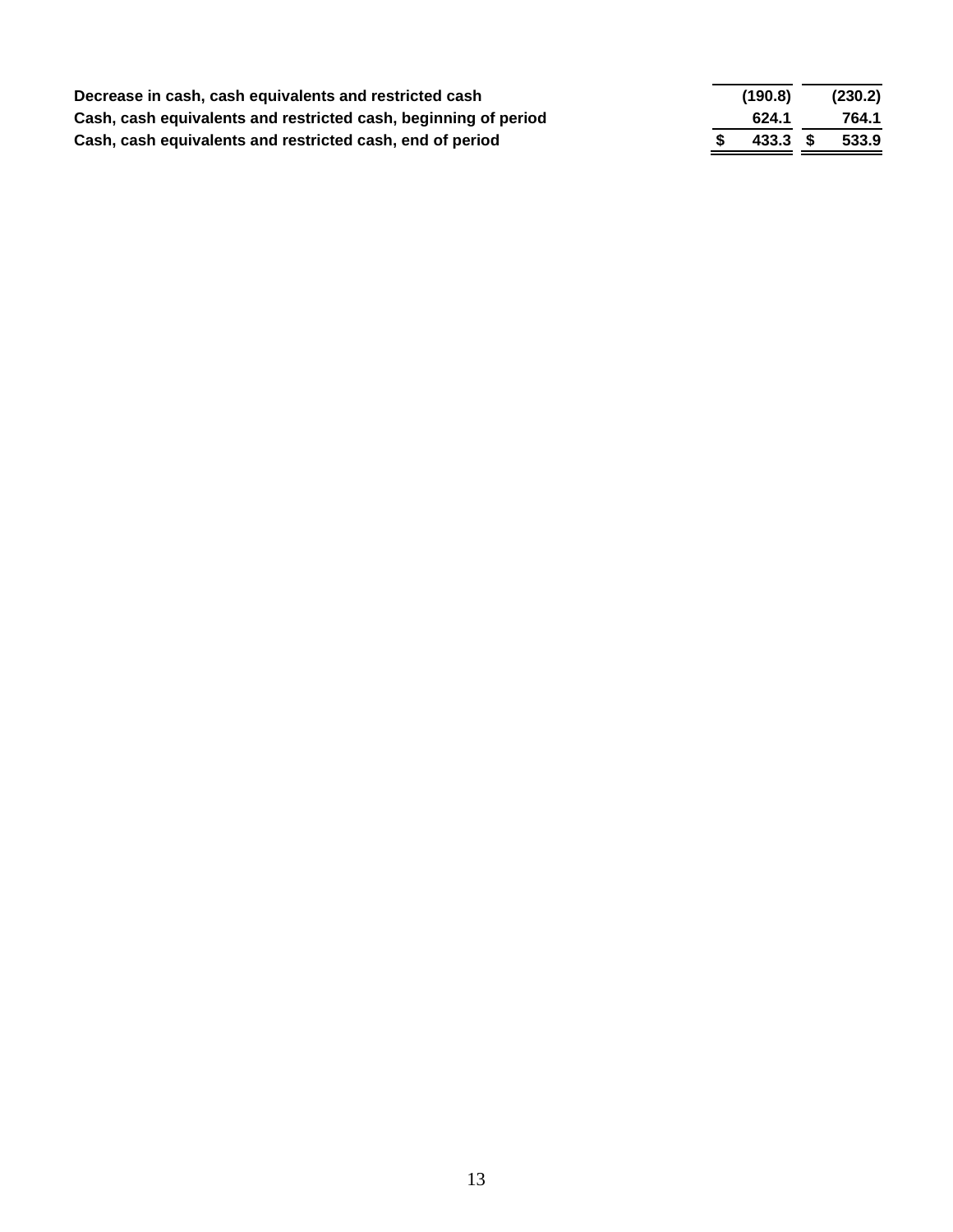| Decrease in cash, cash equivalents and restricted cash          | (190.8)  | (230.2) |
|-----------------------------------------------------------------|----------|---------|
| Cash, cash equivalents and restricted cash, beginning of period | 624.1    | 764.1   |
| Cash, cash equivalents and restricted cash, end of period       | 433.3 \$ | 533.9   |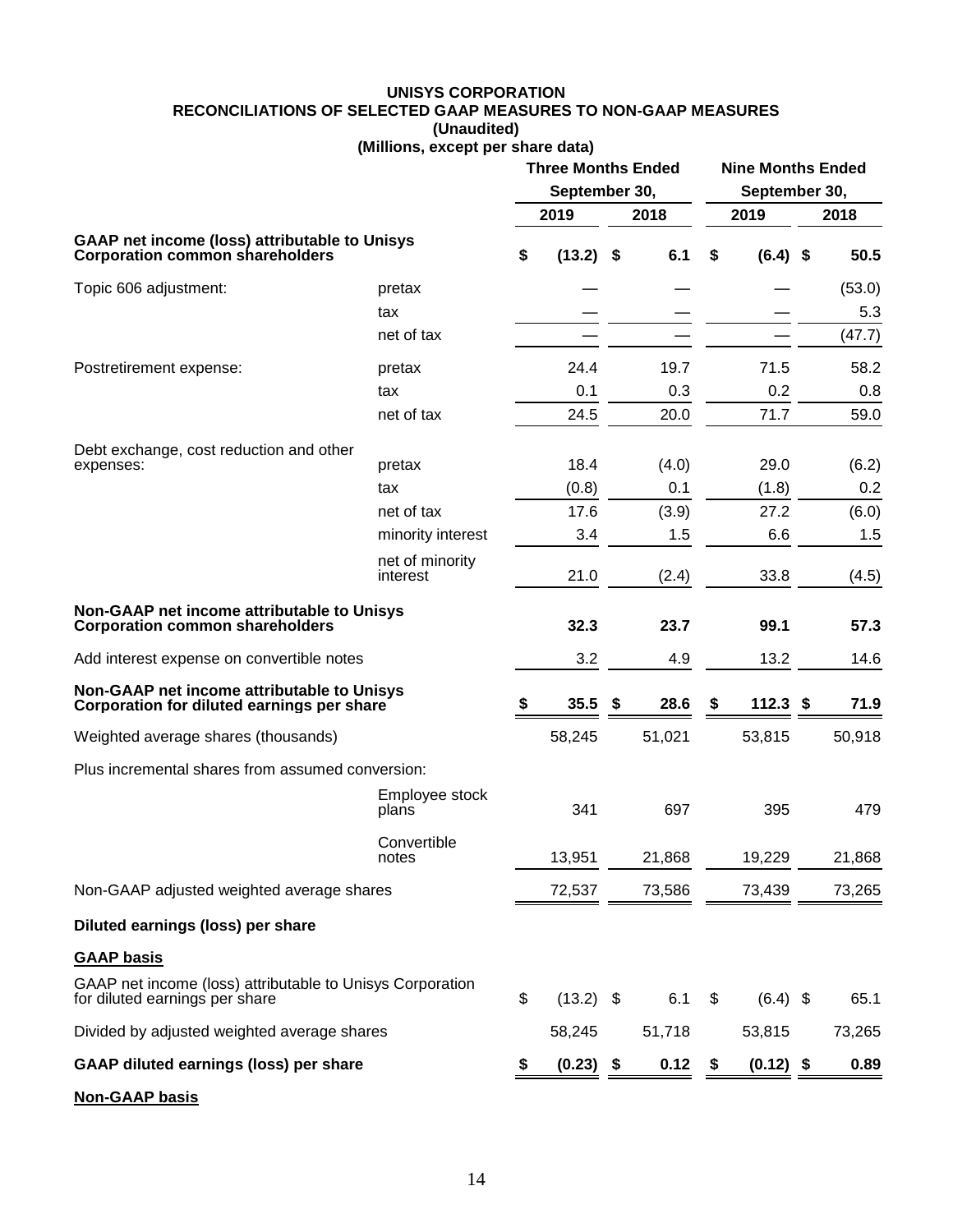#### **UNISYS CORPORATION RECONCILIATIONS OF SELECTED GAAP MEASURES TO NON-GAAP MEASURES (Unaudited) (Millions, except per share data)**

|                                                                                                |                             | <b>Three Months Ended</b><br>September 30, |             |      |        |    |             | <b>Nine Months Ended</b><br>September 30, |        |
|------------------------------------------------------------------------------------------------|-----------------------------|--------------------------------------------|-------------|------|--------|----|-------------|-------------------------------------------|--------|
|                                                                                                |                             |                                            | 2019        |      | 2018   |    | 2019        |                                           | 2018   |
| <b>GAAP net income (loss) attributable to Unisys</b><br><b>Corporation common shareholders</b> |                             | \$                                         | $(13.2)$ \$ |      | 6.1    | \$ | $(6.4)$ \$  |                                           | 50.5   |
| Topic 606 adjustment:                                                                          | pretax                      |                                            |             |      |        |    |             |                                           | (53.0) |
|                                                                                                | tax                         |                                            |             |      |        |    |             |                                           | 5.3    |
|                                                                                                | net of tax                  |                                            |             |      |        |    |             |                                           | (47.7) |
| Postretirement expense:                                                                        | pretax                      |                                            | 24.4        |      | 19.7   |    | 71.5        |                                           | 58.2   |
|                                                                                                | tax                         |                                            | 0.1         |      | 0.3    |    | 0.2         |                                           | 0.8    |
|                                                                                                | net of tax                  |                                            | 24.5        |      | 20.0   |    | 71.7        |                                           | 59.0   |
| Debt exchange, cost reduction and other                                                        |                             |                                            |             |      |        |    |             |                                           |        |
| expenses:                                                                                      | pretax                      |                                            | 18.4        |      | (4.0)  |    | 29.0        |                                           | (6.2)  |
|                                                                                                | tax                         |                                            | (0.8)       |      | 0.1    |    | (1.8)       |                                           | 0.2    |
|                                                                                                | net of tax                  |                                            | 17.6        |      | (3.9)  |    | 27.2        |                                           | (6.0)  |
|                                                                                                | minority interest           |                                            | 3.4         |      | 1.5    |    | 6.6         |                                           | 1.5    |
|                                                                                                | net of minority<br>interest |                                            | 21.0        |      | (2.4)  |    | 33.8        |                                           | (4.5)  |
| Non-GAAP net income attributable to Unisys<br><b>Corporation common shareholders</b>           |                             |                                            | 32.3        |      | 23.7   |    | 99.1        |                                           | 57.3   |
| Add interest expense on convertible notes                                                      |                             |                                            | 3.2         |      | 4.9    |    | 13.2        |                                           | 14.6   |
| Non-GAAP net income attributable to Unisys<br>Corporation for diluted earnings per share       |                             | S                                          | 35.5        | \$   | 28.6   | S  | $112.3$ \$  |                                           | 71.9   |
| Weighted average shares (thousands)                                                            |                             |                                            | 58,245      |      | 51,021 |    | 53,815      |                                           | 50,918 |
| Plus incremental shares from assumed conversion:                                               |                             |                                            |             |      |        |    |             |                                           |        |
|                                                                                                | Employee stock<br>plans     |                                            | 341         |      | 697    |    | 395         |                                           | 479    |
|                                                                                                | Convertible<br>notes        |                                            | 13,951      |      | 21,868 |    | 19,229      |                                           | 21,868 |
| Non-GAAP adjusted weighted average shares                                                      |                             |                                            | 72,537      |      | 73,586 |    | 73,439      |                                           | 73,265 |
| Diluted earnings (loss) per share                                                              |                             |                                            |             |      |        |    |             |                                           |        |
| <b>GAAP basis</b>                                                                              |                             |                                            |             |      |        |    |             |                                           |        |
| GAAP net income (loss) attributable to Unisys Corporation<br>for diluted earnings per share    |                             | \$                                         | $(13.2)$ \$ |      | 6.1    | \$ | $(6.4)$ \$  |                                           | 65.1   |
| Divided by adjusted weighted average shares                                                    |                             |                                            | 58,245      |      | 51,718 |    | 53,815      |                                           | 73,265 |
| GAAP diluted earnings (loss) per share                                                         |                             |                                            | (0.23)      | - \$ | 0.12   | \$ | $(0.12)$ \$ |                                           | 0.89   |
| <b>Non-GAAP basis</b>                                                                          |                             |                                            |             |      |        |    |             |                                           |        |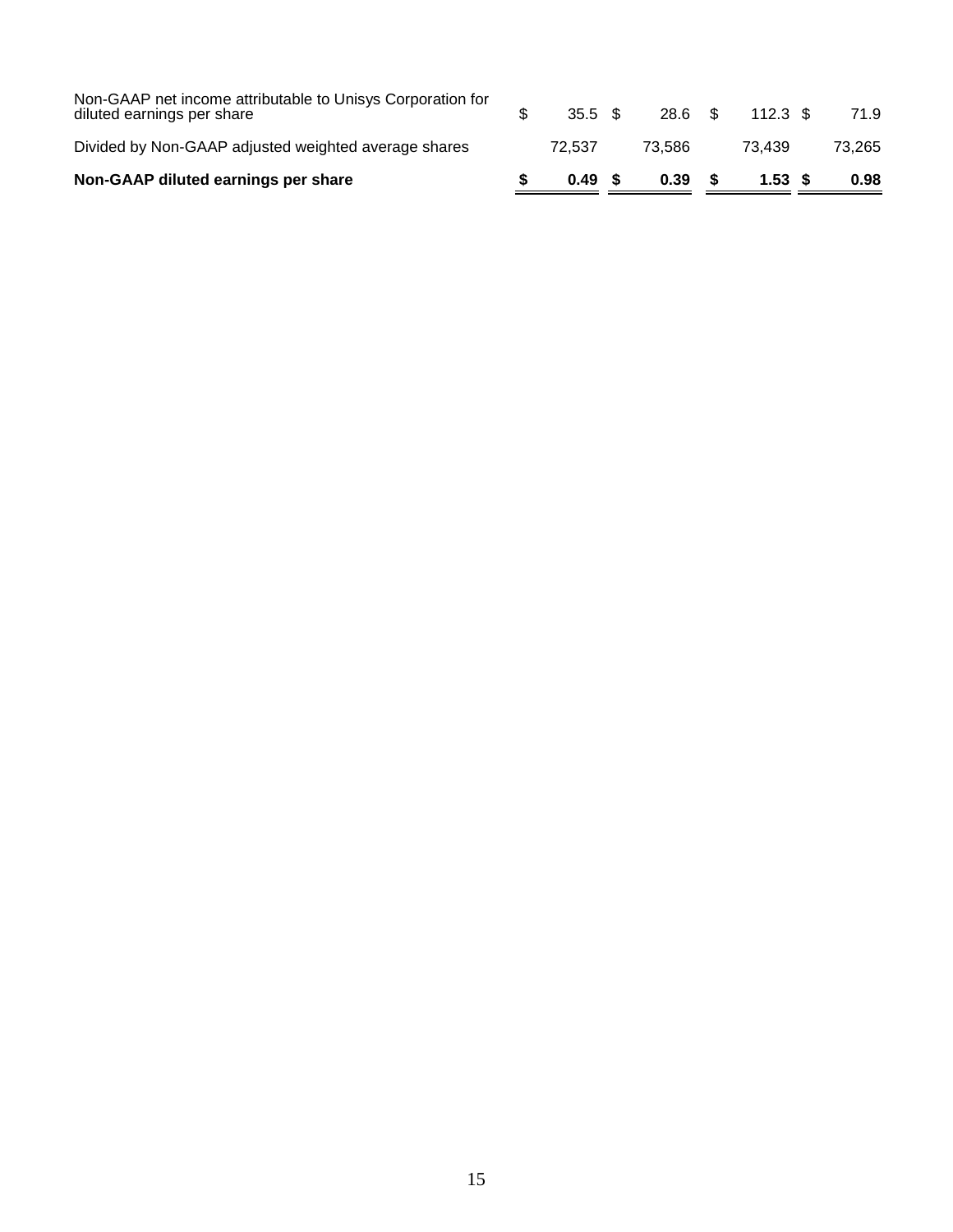| Non-GAAP diluted earnings per share                                                      | 0.49 S             | 0.39    | 1.53 S     | 0.98   |
|------------------------------------------------------------------------------------------|--------------------|---------|------------|--------|
| Divided by Non-GAAP adjusted weighted average shares                                     | 72.537             | 73.586  | 73.439     | 73.265 |
| Non-GAAP net income attributable to Unisys Corporation for<br>diluted earnings per share | $35.5 \text{ } $s$ | 28.6 \$ | $112.3$ \$ | 71.9   |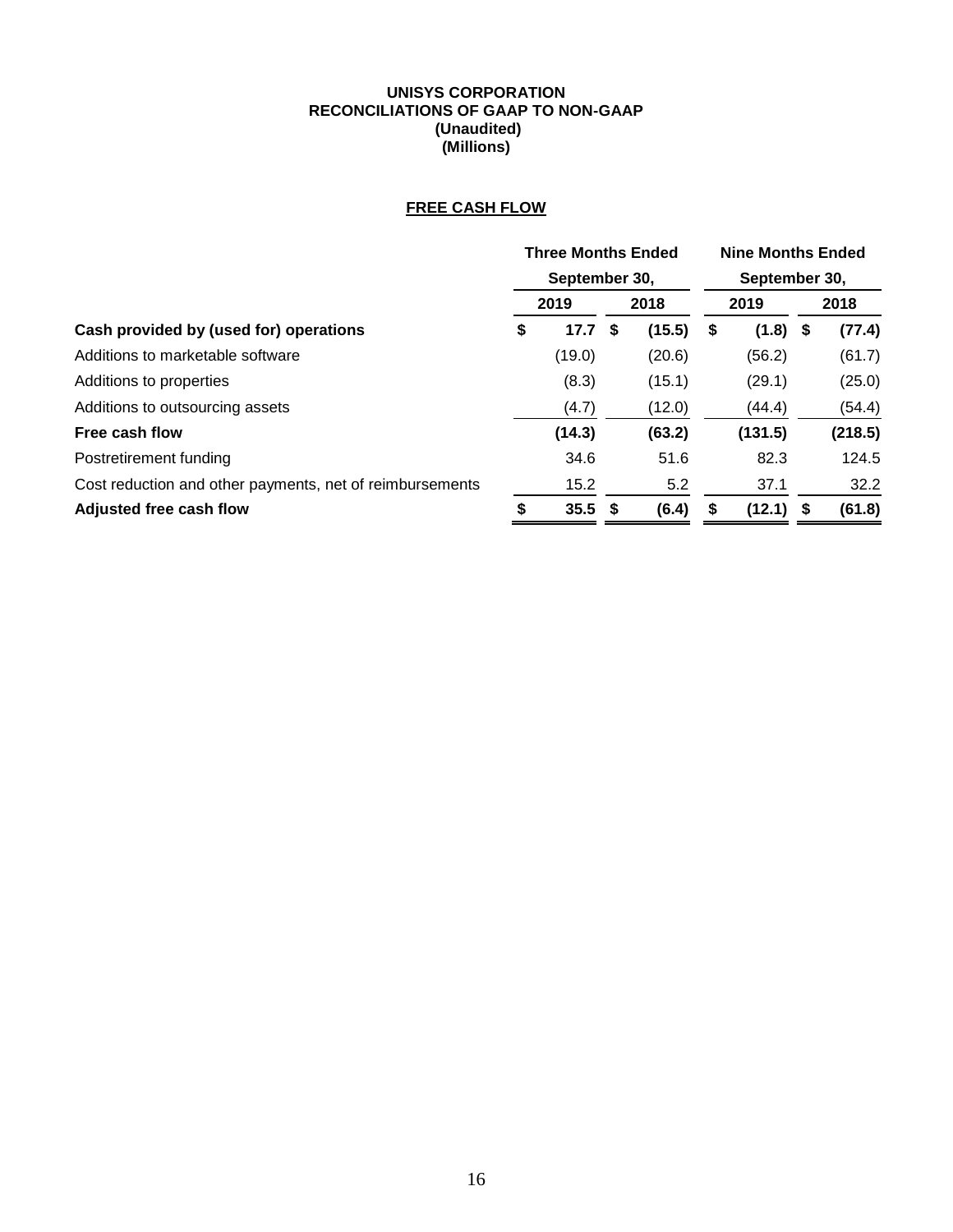#### **UNISYS CORPORATION RECONCILIATIONS OF GAAP TO NON-GAAP (Unaudited) (Millions)**

## **FREE CASH FLOW**

|                                                          | <b>Three Months Ended</b> |               |   |        |   | <b>Nine Months Ended</b> |  |         |  |  |
|----------------------------------------------------------|---------------------------|---------------|---|--------|---|--------------------------|--|---------|--|--|
|                                                          |                           | September 30, |   |        |   | September 30,            |  |         |  |  |
|                                                          |                           | 2019          |   | 2018   |   | 2019                     |  | 2018    |  |  |
| Cash provided by (used for) operations                   | \$                        | 17.7          | S | (15.5) | 5 | $(1.8)$ \$               |  | (77.4)  |  |  |
| Additions to marketable software                         |                           | (19.0)        |   | (20.6) |   | (56.2)                   |  | (61.7)  |  |  |
| Additions to properties                                  |                           | (8.3)         |   | (15.1) |   | (29.1)                   |  | (25.0)  |  |  |
| Additions to outsourcing assets                          |                           | (4.7)         |   | (12.0) |   | (44.4)                   |  | (54.4)  |  |  |
| Free cash flow                                           |                           | (14.3)        |   | (63.2) |   | (131.5)                  |  | (218.5) |  |  |
| Postretirement funding                                   |                           | 34.6          |   | 51.6   |   | 82.3                     |  | 124.5   |  |  |
| Cost reduction and other payments, net of reimbursements |                           | 15.2          |   | 5.2    |   | 37.1                     |  | 32.2    |  |  |
| Adjusted free cash flow                                  | ፍ                         | $35.5$ \$     |   | (6.4)  |   | $(12.1)$ \$              |  | (61.8)  |  |  |
|                                                          |                           |               |   |        |   |                          |  |         |  |  |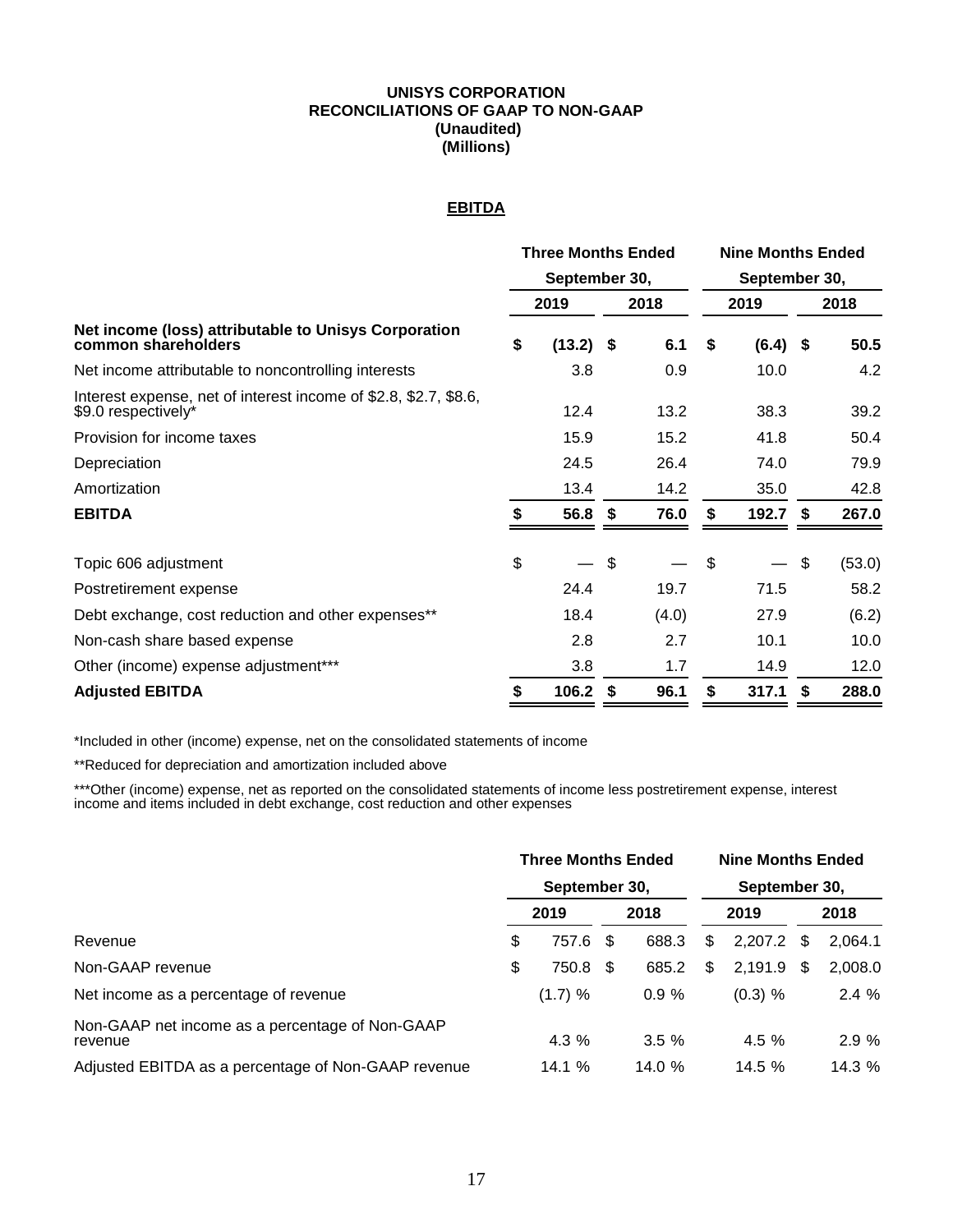#### **UNISYS CORPORATION RECONCILIATIONS OF GAAP TO NON-GAAP (Unaudited) (Millions)**

## **EBITDA**

|                                                                                         | <b>Three Months Ended</b> |               |                           |       |                           | <b>Nine Months Ended</b> |    |        |  |  |  |
|-----------------------------------------------------------------------------------------|---------------------------|---------------|---------------------------|-------|---------------------------|--------------------------|----|--------|--|--|--|
|                                                                                         |                           | September 30, |                           |       | September 30,             |                          |    |        |  |  |  |
|                                                                                         |                           | 2019          |                           | 2018  |                           | 2019                     |    | 2018   |  |  |  |
| Net income (loss) attributable to Unisys Corporation<br>common shareholders             |                           | $(13.2)$ \$   |                           | 6.1   | S.                        | $(6.4)$ \$               |    | 50.5   |  |  |  |
| Net income attributable to noncontrolling interests                                     |                           | 3.8           |                           | 0.9   |                           | 10.0                     |    | 4.2    |  |  |  |
| Interest expense, net of interest income of \$2.8, \$2.7, \$8.6,<br>\$9.0 respectively* |                           | 12.4          |                           | 13.2  |                           | 38.3                     |    | 39.2   |  |  |  |
| Provision for income taxes                                                              |                           | 15.9          |                           | 15.2  |                           | 41.8                     |    | 50.4   |  |  |  |
| Depreciation                                                                            |                           | 24.5          |                           | 26.4  |                           | 74.0                     |    | 79.9   |  |  |  |
| Amortization                                                                            |                           | 13.4          |                           | 14.2  |                           | 35.0                     |    | 42.8   |  |  |  |
| <b>EBITDA</b>                                                                           | S.                        | $56.8$ \$     |                           | 76.0  | S                         | $192.7$ \$               |    | 267.0  |  |  |  |
| Topic 606 adjustment                                                                    | \$                        |               | $\boldsymbol{\mathsf{S}}$ |       | $\boldsymbol{\mathsf{S}}$ |                          | \$ | (53.0) |  |  |  |
| Postretirement expense                                                                  |                           | 24.4          |                           | 19.7  |                           | 71.5                     |    | 58.2   |  |  |  |
| Debt exchange, cost reduction and other expenses**                                      |                           | 18.4          |                           | (4.0) |                           | 27.9                     |    | (6.2)  |  |  |  |
| Non-cash share based expense                                                            |                           | 2.8           |                           | 2.7   |                           | 10.1                     |    | 10.0   |  |  |  |
| Other (income) expense adjustment***                                                    |                           | 3.8           |                           | 1.7   |                           | 14.9                     |    | 12.0   |  |  |  |
| <b>Adjusted EBITDA</b>                                                                  | S                         | 106.2         | \$                        | 96.1  | S                         | 317.1                    | S  | 288.0  |  |  |  |

\*Included in other (income) expense, net on the consolidated statements of income

\*\*Reduced for depreciation and amortization included above

\*\*\*Other (income) expense, net as reported on the consolidated statements of income less postretirement expense, interest income and items included in debt exchange, cost reduction and other expenses

|                                                            |    | <b>Three Months Ended</b><br>September 30, |      |        | <b>Nine Months Ended</b><br>September 30, |           |      |         |  |
|------------------------------------------------------------|----|--------------------------------------------|------|--------|-------------------------------------------|-----------|------|---------|--|
|                                                            |    | 2019                                       | 2018 |        | 2019                                      |           | 2018 |         |  |
| Revenue                                                    | \$ | 757.6                                      | - \$ | 688.3  | \$                                        | 2,207.2   | -S   | 2,064.1 |  |
| Non-GAAP revenue                                           | \$ | 750.8                                      | - \$ | 685.2  | \$                                        | 2,191.9   | \$.  | 2,008.0 |  |
| Net income as a percentage of revenue                      |    | (1.7) %                                    |      | 0.9%   |                                           | $(0.3)$ % |      | 2.4%    |  |
| Non-GAAP net income as a percentage of Non-GAAP<br>revenue |    | $4.3\%$                                    |      | 3.5%   |                                           | 4.5%      |      | 2.9%    |  |
| Adjusted EBITDA as a percentage of Non-GAAP revenue        |    | 14.1 %                                     |      | 14.0 % |                                           | 14.5%     |      | 14.3 %  |  |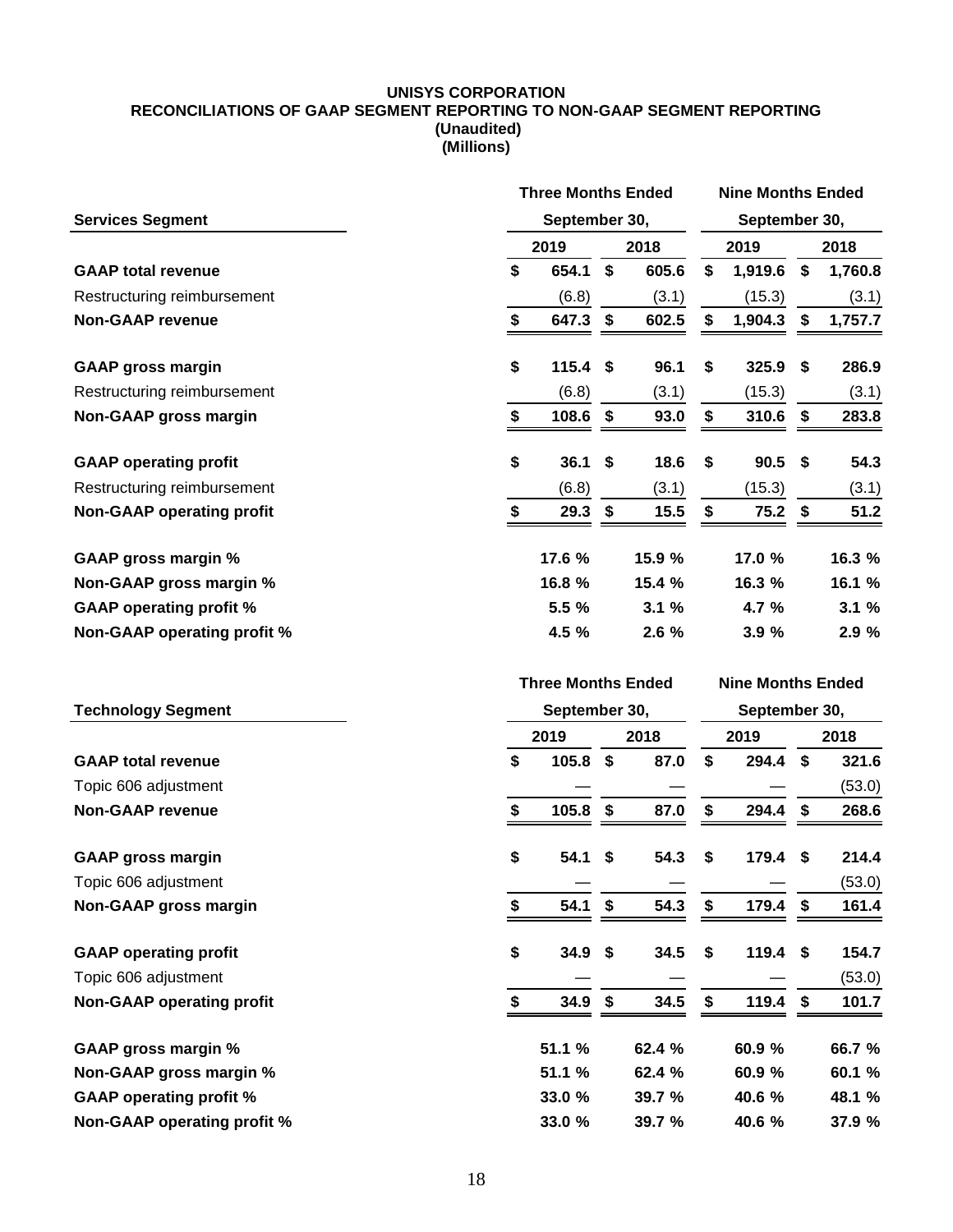#### **UNISYS CORPORATION RECONCILIATIONS OF GAAP SEGMENT REPORTING TO NON-GAAP SEGMENT REPORTING (Unaudited) (Millions)**

|                                  |               | <b>Three Months Ended</b> |                           |        |               | <b>Nine Months Ended</b> |    |         |  |
|----------------------------------|---------------|---------------------------|---------------------------|--------|---------------|--------------------------|----|---------|--|
| <b>Services Segment</b>          | September 30, |                           |                           |        | September 30, |                          |    |         |  |
|                                  | 2019          |                           | 2018                      | 2019   |               | 2018                     |    |         |  |
| <b>GAAP total revenue</b>        | \$            | 654.1                     | \$                        | 605.6  | \$            | 1,919.6                  | \$ | 1,760.8 |  |
| Restructuring reimbursement      |               | (6.8)                     |                           | (3.1)  |               | (15.3)                   |    | (3.1)   |  |
| <b>Non-GAAP revenue</b>          | \$            | 647.3                     | \$                        | 602.5  | \$            | 1,904.3                  | \$ | 1,757.7 |  |
| <b>GAAP gross margin</b>         | \$            | 115.4                     | \$                        | 96.1   | S             | 325.9                    | \$ | 286.9   |  |
| Restructuring reimbursement      |               | (6.8)                     |                           | (3.1)  |               | (15.3)                   |    | (3.1)   |  |
| <b>Non-GAAP gross margin</b>     | \$            | 108.6                     | \$                        | 93.0   | \$            | 310.6                    | \$ | 283.8   |  |
| <b>GAAP operating profit</b>     | \$            | 36.1                      | \$                        | 18.6   | \$            | 90.5                     | \$ | 54.3    |  |
| Restructuring reimbursement      |               | (6.8)                     |                           | (3.1)  |               | (15.3)                   |    | (3.1)   |  |
| <b>Non-GAAP operating profit</b> | \$            | 29.3                      | \$                        | 15.5   | \$            | 75.2                     | \$ | 51.2    |  |
| <b>GAAP gross margin %</b>       |               | 17.6 %                    |                           | 15.9 % |               | 17.0 %                   |    | 16.3 %  |  |
| Non-GAAP gross margin %          |               | 16.8 %                    |                           | 15.4 % |               | 16.3 %                   |    | 16.1 %  |  |
| <b>GAAP operating profit %</b>   |               | 5.5 %                     |                           | 3.1%   |               | 4.7 %                    |    | 3.1%    |  |
| Non-GAAP operating profit %      |               | 4.5 %                     |                           | 2.6%   |               | 3.9%                     |    | 2.9 %   |  |
|                                  |               | <b>Three Months Ended</b> |                           |        |               | <b>Nine Months Ended</b> |    |         |  |
|                                  |               |                           |                           |        |               |                          |    |         |  |
| <b>Technology Segment</b>        |               | September 30,             |                           |        |               | September 30,            |    |         |  |
|                                  |               | 2019                      |                           | 2018   |               | 2019                     |    | 2018    |  |
| <b>GAAP total revenue</b>        | \$            | 105.8                     | \$                        | 87.0   | \$            | 294.4                    | \$ | 321.6   |  |
| Topic 606 adjustment             |               |                           |                           |        |               |                          |    | (53.0)  |  |
| <b>Non-GAAP revenue</b>          | \$            | 105.8                     | \$                        | 87.0   | \$            | 294.4                    | \$ | 268.6   |  |
| <b>GAAP gross margin</b>         | \$            | 54.1                      | \$                        | 54.3   | \$            | 179.4                    | \$ | 214.4   |  |
| Topic 606 adjustment             |               |                           |                           |        |               |                          |    | (53.0)  |  |
| <b>Non-GAAP gross margin</b>     | \$            | 54.1                      | \$                        | 54.3   | \$            | 179.4                    | \$ | 161.4   |  |
| <b>GAAP operating profit</b>     | \$            | 34.9                      | \$                        | 34.5   | \$            | $119.4$ \$               |    | 154.7   |  |
| Topic 606 adjustment             |               |                           |                           |        |               |                          |    | (53.0)  |  |
| <b>Non-GAAP operating profit</b> | \$            | 34.9                      | $\boldsymbol{\mathsf{s}}$ | 34.5   | \$            | 119.4                    | \$ | 101.7   |  |
| <b>GAAP gross margin %</b>       |               | 51.1 %                    |                           | 62.4 % |               | 60.9 %                   |    | 66.7 %  |  |
| Non-GAAP gross margin %          |               | 51.1 %                    |                           | 62.4 % |               | 60.9 %                   |    | 60.1 %  |  |
| <b>GAAP operating profit %</b>   |               | 33.0 %                    |                           | 39.7 % |               | 40.6 %                   |    | 48.1 %  |  |